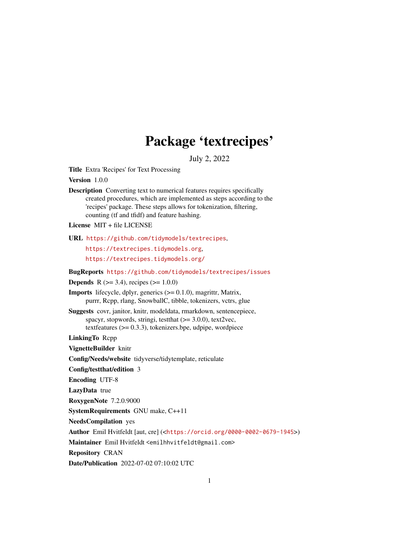# Package 'textrecipes'

July 2, 2022

<span id="page-0-0"></span>Title Extra 'Recipes' for Text Processing

Version 1.0.0

Description Converting text to numerical features requires specifically created procedures, which are implemented as steps according to the 'recipes' package. These steps allows for tokenization, filtering, counting (tf and tfidf) and feature hashing.

License MIT + file LICENSE

URL <https://github.com/tidymodels/textrecipes>,

<https://textrecipes.tidymodels.org>, <https://textrecipes.tidymodels.org/>

BugReports <https://github.com/tidymodels/textrecipes/issues>

**Depends** R ( $>= 3.4$ ), recipes ( $>= 1.0.0$ )

**Imports** lifecycle, dplyr, generics  $(>= 0.1.0)$ , magrittr, Matrix, purrr, Rcpp, rlang, SnowballC, tibble, tokenizers, vctrs, glue

Suggests covr, janitor, knitr, modeldata, rmarkdown, sentencepiece, spacyr, stopwords, stringi, testthat  $(>= 3.0.0)$ , text2vec, textfeatures (>= 0.3.3), tokenizers.bpe, udpipe, wordpiece

LinkingTo Rcpp

VignetteBuilder knitr

Config/Needs/website tidyverse/tidytemplate, reticulate

Config/testthat/edition 3

Encoding UTF-8

LazyData true

RoxygenNote 7.2.0.9000

SystemRequirements GNU make, C++11

NeedsCompilation yes

Author Emil Hvitfeldt [aut, cre] (<<https://orcid.org/0000-0002-0679-1945>>)

Maintainer Emil Hvitfeldt <emilhhvitfeldt@gmail.com>

Repository CRAN

Date/Publication 2022-07-02 07:10:02 UTC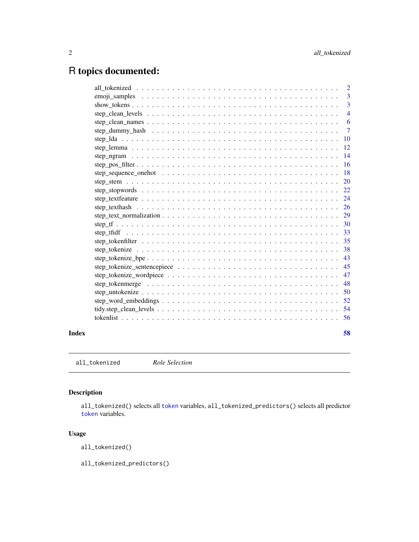# <span id="page-1-0"></span>R topics documented:

| Index | 58             |
|-------|----------------|
|       | 56             |
|       | -54            |
|       | 52             |
|       | 50             |
|       | 48             |
|       | 47             |
|       | 45             |
|       | 43             |
|       | 38             |
|       | 35             |
|       | 33             |
|       | 30             |
|       | 29             |
|       | 26             |
|       | 24             |
|       | 22             |
|       | 20             |
|       | 18             |
|       | <b>16</b>      |
|       | 14             |
|       | 12             |
|       | <b>10</b>      |
|       | $\overline{7}$ |
|       | 6              |
|       | $\overline{4}$ |
|       | $\overline{3}$ |
|       | 3              |
|       | 2              |

all\_tokenized *Role Selection*

# Description

all\_tokenized() selects all [token](#page-55-1) variables, all\_tokenized\_predictors() selects all predictor [token](#page-55-1) variables.

# Usage

all\_tokenized()

all\_tokenized\_predictors()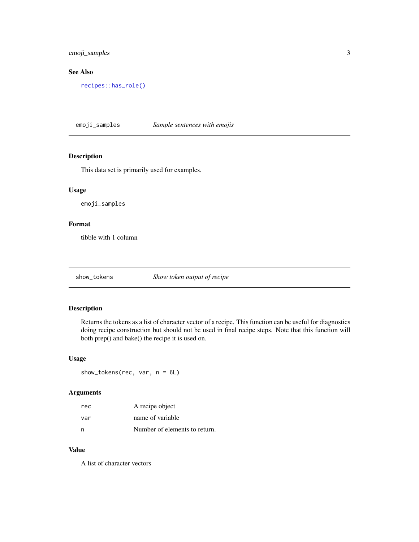<span id="page-2-0"></span>emoji\_samples 3

# See Also

[recipes::has\\_role\(\)](#page-0-0)

emoji\_samples *Sample sentences with emojis*

# Description

This data set is primarily used for examples.

# Usage

emoji\_samples

# Format

tibble with 1 column

show\_tokens *Show token output of recipe*

# Description

Returns the tokens as a list of character vector of a recipe. This function can be useful for diagnostics doing recipe construction but should not be used in final recipe steps. Note that this function will both prep() and bake() the recipe it is used on.

### Usage

show\_tokens(rec, var, n = 6L)

#### Arguments

| rec | A recipe object               |
|-----|-------------------------------|
| var | name of variable              |
| n   | Number of elements to return. |

# Value

A list of character vectors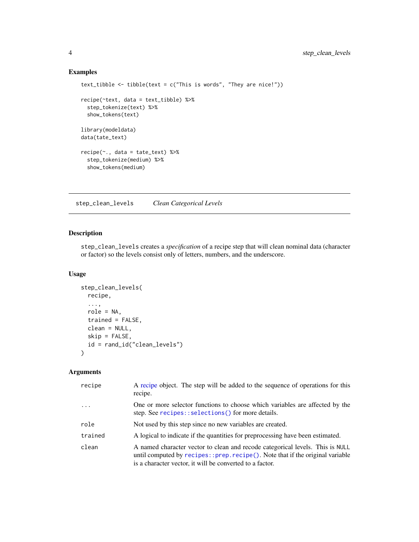# Examples

```
text_tibble <- tibble(text = c("This is words", "They are nice!"))
recipe(~text, data = text_tibble) %>%
  step_tokenize(text) %>%
  show_tokens(text)
library(modeldata)
data(tate_text)
recipe(~., data = tate_text) %>%
  step_tokenize(medium) %>%
  show_tokens(medium)
```
<span id="page-3-1"></span>step\_clean\_levels *Clean Categorical Levels*

# Description

step\_clean\_levels creates a *specification* of a recipe step that will clean nominal data (character or factor) so the levels consist only of letters, numbers, and the underscore.

#### Usage

```
step_clean_levels(
  recipe,
  ...,
  role = NA,
  trained = FALSE,
  clean = NULL,
  skip = FALSE,
  id = rand_id("clean_levels")
\mathcal{L}
```

| recipe     | A recipe object. The step will be added to the sequence of operations for this<br>recipe.                                                                                                                                    |
|------------|------------------------------------------------------------------------------------------------------------------------------------------------------------------------------------------------------------------------------|
| $\ddots$ . | One or more selector functions to choose which variables are affected by the<br>step. See recipes::selections() for more details.                                                                                            |
| role       | Not used by this step since no new variables are created.                                                                                                                                                                    |
| trained    | A logical to indicate if the quantities for preprocessing have been estimated.                                                                                                                                               |
| clean      | A named character vector to clean and recode categorical levels. This is NULL<br>until computed by $recipes::prep.recipe()$ . Note that if the original variable<br>is a character vector, it will be converted to a factor. |

<span id="page-3-0"></span>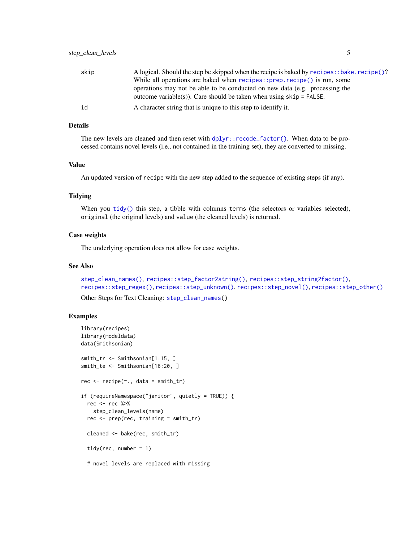<span id="page-4-0"></span>

| skip | A logical. Should the step be skipped when the recipe is baked by recipes: : bake. recipe()?                                                         |
|------|------------------------------------------------------------------------------------------------------------------------------------------------------|
|      | While all operations are baked when recipes:: prep.recipe() is run, some                                                                             |
|      | operations may not be able to be conducted on new data (e.g. processing the<br>outcome variable(s)). Care should be taken when using $skip =$ FALSE. |
| id   | A character string that is unique to this step to identify it.                                                                                       |

The new levels are cleaned and then reset with  $d$ plyr::recode\_factor(). When data to be processed contains novel levels (i.e., not contained in the training set), they are converted to missing.

#### Value

An updated version of recipe with the new step added to the sequence of existing steps (if any).

# Tidying

When you [tidy\(\)](#page-53-1) this step, a tibble with columns terms (the selectors or variables selected), original (the original levels) and value (the cleaned levels) is returned.

#### Case weights

The underlying operation does not allow for case weights.

#### See Also

```
step_clean_names(), recipes::step_factor2string(), recipes::step_string2factor(),
recipes::step_regex(), recipes::step_unknown(), recipes::step_novel(), recipes::step_other()
```
Other Steps for Text Cleaning: [step\\_clean\\_names\(](#page-5-1))

```
library(recipes)
library(modeldata)
data(Smithsonian)
smith_tr <- Smithsonian[1:15, ]
smith_te <- Smithsonian[16:20, ]
rec \leq recipe(\leq., data = smith_tr)
if (requireNamespace("janitor", quietly = TRUE)) {
 rec <- rec %>%
   step_clean_levels(name)
 rec <- prep(rec, training = smith_tr)
 cleaned <- bake(rec, smith_tr)
 tidy(rec, number = 1)
 # novel levels are replaced with missing
```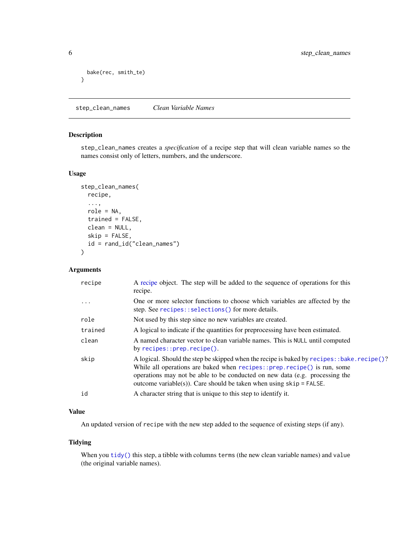```
bake(rec, smith_te)
}
```
<span id="page-5-1"></span>step\_clean\_names *Clean Variable Names*

# Description

step\_clean\_names creates a *specification* of a recipe step that will clean variable names so the names consist only of letters, numbers, and the underscore.

# Usage

```
step_clean_names(
  recipe,
  ...,
  role = NA,
  trained = FALSE,
  clean = NULL,
  skip = FALSE,
  id = rand_id("clean_names")
\mathcal{L}
```
# Arguments

| recipe  | A recipe object. The step will be added to the sequence of operations for this<br>recipe.                                                                                                                                                                                                                                         |
|---------|-----------------------------------------------------------------------------------------------------------------------------------------------------------------------------------------------------------------------------------------------------------------------------------------------------------------------------------|
| .       | One or more selector functions to choose which variables are affected by the<br>step. See recipes::selections() for more details.                                                                                                                                                                                                 |
| role    | Not used by this step since no new variables are created.                                                                                                                                                                                                                                                                         |
| trained | A logical to indicate if the quantities for preprocessing have been estimated.                                                                                                                                                                                                                                                    |
| clean   | A named character vector to clean variable names. This is NULL until computed<br>by $recipes::prep.recipe()$ .                                                                                                                                                                                                                    |
| skip    | A logical. Should the step be skipped when the recipe is baked by recipes: : bake. recipe()?<br>While all operations are baked when $recipes::prep.recipe()$ is run, some<br>operations may not be able to be conducted on new data (e.g. processing the<br>outcome variable(s)). Care should be taken when using $skip =$ FALSE. |
| id      | A character string that is unique to this step to identify it.                                                                                                                                                                                                                                                                    |

# Value

An updated version of recipe with the new step added to the sequence of existing steps (if any).

#### Tidying

When you [tidy\(\)](#page-53-1) this step, a tibble with columns terms (the new clean variable names) and value (the original variable names).

<span id="page-5-0"></span>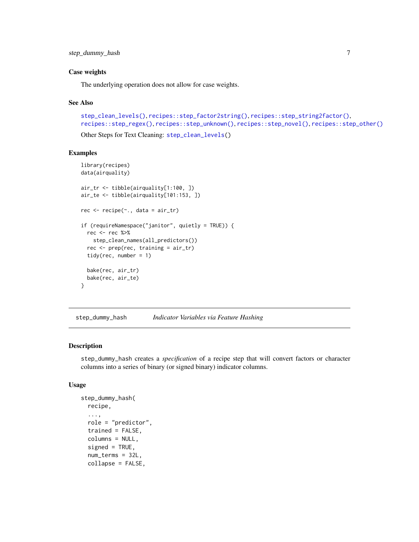#### <span id="page-6-0"></span>Case weights

The underlying operation does not allow for case weights.

#### See Also

```
step_clean_levels(), recipes::step_factor2string(), recipes::step_string2factor(),
recipes::step_regex(), recipes::step_unknown(), recipes::step_novel(), recipes::step_other()
Other Steps for Text Cleaning: step_clean_levels()
```
#### Examples

```
library(recipes)
data(airquality)
air_tr <- tibble(airquality[1:100, ])
air_te <- tibble(airquality[101:153, ])
rec <- recipe(~., data = air_tr)
if (requireNamespace("janitor", quietly = TRUE)) {
 rec <- rec %>%
   step_clean_names(all_predictors())
 rec <- prep(rec, training = air_tr)
 tidy(rec, number = 1)
 bake(rec, air_tr)
 bake(rec, air_te)
}
```
<span id="page-6-1"></span>step\_dummy\_hash *Indicator Variables via Feature Hashing*

#### Description

step\_dummy\_hash creates a *specification* of a recipe step that will convert factors or character columns into a series of binary (or signed binary) indicator columns.

#### Usage

```
step_dummy_hash(
  recipe,
  ...,
  role = "predictor",
  trained = FALSE,
  columns = NULL,
  signed = TRUE,num_terms = 32L,
  collapse = FALSE,
```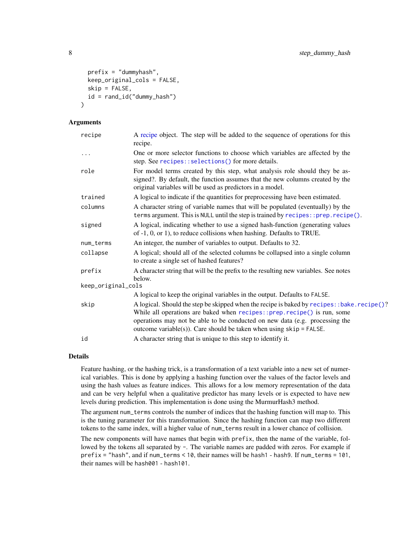```
prefix = "dummyhash",
  keep_original_cols = FALSE,
  skip = FALSE,
  id = rand_id("dummy_hash")
)
```
#### Arguments

| recipe             | A recipe object. The step will be added to the sequence of operations for this<br>recipe.                                                                                                                                                                                                                                         |
|--------------------|-----------------------------------------------------------------------------------------------------------------------------------------------------------------------------------------------------------------------------------------------------------------------------------------------------------------------------------|
| .                  | One or more selector functions to choose which variables are affected by the<br>step. See recipes::selections() for more details.                                                                                                                                                                                                 |
| role               | For model terms created by this step, what analysis role should they be as-<br>signed?. By default, the function assumes that the new columns created by the<br>original variables will be used as predictors in a model.                                                                                                         |
| trained            | A logical to indicate if the quantities for preprocessing have been estimated.                                                                                                                                                                                                                                                    |
| columns            | A character string of variable names that will be populated (eventually) by the<br>terms argument. This is NULL until the step is trained by recipes:: prep.recipe().                                                                                                                                                             |
| signed             | A logical, indicating whether to use a signed hash-function (generating values<br>of $-1$ , 0, or 1), to reduce collisions when hashing. Defaults to TRUE.                                                                                                                                                                        |
| num_terms          | An integer, the number of variables to output. Defaults to 32.                                                                                                                                                                                                                                                                    |
| collapse           | A logical; should all of the selected columns be collapsed into a single column<br>to create a single set of hashed features?                                                                                                                                                                                                     |
| prefix             | A character string that will be the prefix to the resulting new variables. See notes<br>below.                                                                                                                                                                                                                                    |
| keep_original_cols |                                                                                                                                                                                                                                                                                                                                   |
|                    | A logical to keep the original variables in the output. Defaults to FALSE.                                                                                                                                                                                                                                                        |
| skip               | A logical. Should the step be skipped when the recipe is baked by recipes: : bake. recipe()?<br>While all operations are baked when recipes:: prep. recipe() is run, some<br>operations may not be able to be conducted on new data (e.g. processing the<br>outcome variable(s)). Care should be taken when using $skip =$ FALSE. |
| id                 | A character string that is unique to this step to identify it.                                                                                                                                                                                                                                                                    |

#### Details

Feature hashing, or the hashing trick, is a transformation of a text variable into a new set of numerical variables. This is done by applying a hashing function over the values of the factor levels and using the hash values as feature indices. This allows for a low memory representation of the data and can be very helpful when a qualitative predictor has many levels or is expected to have new levels during prediction. This implementation is done using the MurmurHash3 method.

The argument num\_terms controls the number of indices that the hashing function will map to. This is the tuning parameter for this transformation. Since the hashing function can map two different tokens to the same index, will a higher value of num\_terms result in a lower chance of collision.

The new components will have names that begin with prefix, then the name of the variable, followed by the tokens all separated by -. The variable names are padded with zeros. For example if prefix = "hash", and if num\_terms < 10, their names will be hash1 - hash9. If num\_terms = 101, their names will be hash001 - hash101.

<span id="page-7-0"></span>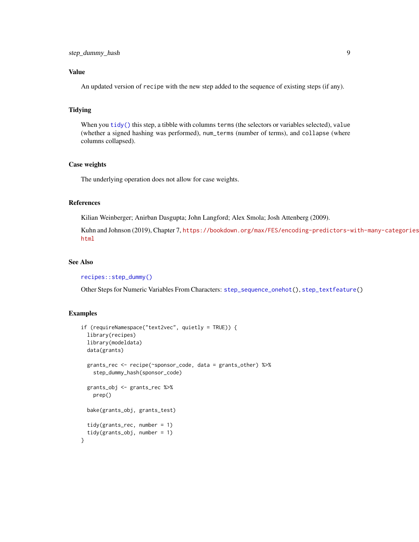# <span id="page-8-0"></span>Value

An updated version of recipe with the new step added to the sequence of existing steps (if any).

#### Tidying

When you  $\text{tidy}()$  this step, a tibble with columns terms (the selectors or variables selected), value (whether a signed hashing was performed), num\_terms (number of terms), and collapse (where columns collapsed).

#### Case weights

The underlying operation does not allow for case weights.

# References

Kilian Weinberger; Anirban Dasgupta; John Langford; Alex Smola; Josh Attenberg (2009).

Kuhn and Johnson (2019), Chapter 7, [https://bookdown.org/max/FES/encoding-predictors-w](https://bookdown.org/max/FES/encoding-predictors-with-many-categories.html)ith-many-categories. [html](https://bookdown.org/max/FES/encoding-predictors-with-many-categories.html)

#### See Also

[recipes::step\\_dummy\(\)](#page-0-0)

Other Steps for Numeric Variables From Characters: [step\\_sequence\\_onehot\(](#page-17-1)), [step\\_textfeature\(](#page-23-1))

```
if (requireNamespace("text2vec", quietly = TRUE)) {
 library(recipes)
 library(modeldata)
 data(grants)
 grants_rec <- recipe(~sponsor_code, data = grants_other) %>%
    step_dummy_hash(sponsor_code)
 grants_obj <- grants_rec %>%
   prep()
 bake(grants_obj, grants_test)
 tidy(grants_rec, number = 1)
 tidy(grants_obj, number = 1)
}
```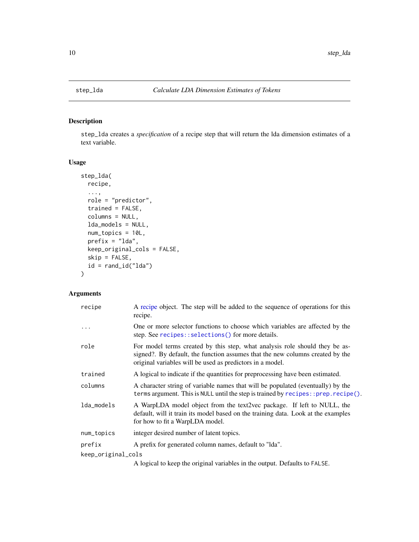<span id="page-9-1"></span><span id="page-9-0"></span>

# Description

step\_lda creates a *specification* of a recipe step that will return the lda dimension estimates of a text variable.

# Usage

```
step_lda(
  recipe,
  ...,
 role = "predictor",
  trained = FALSE,
  columns = NULL,
  lda_models = NULL,
  num_topics = 10L,
 prefix = "lda",
 keep_original_cols = FALSE,
  skip = FALSE,
 id = rand_id("lda"))
```

| recipe             | A recipe object. The step will be added to the sequence of operations for this<br>recipe.                                                                                                                                 |
|--------------------|---------------------------------------------------------------------------------------------------------------------------------------------------------------------------------------------------------------------------|
| $\cdots$           | One or more selector functions to choose which variables are affected by the<br>step. See recipes::selections() for more details.                                                                                         |
| role               | For model terms created by this step, what analysis role should they be as-<br>signed?. By default, the function assumes that the new columns created by the<br>original variables will be used as predictors in a model. |
| trained            | A logical to indicate if the quantities for preprocessing have been estimated.                                                                                                                                            |
| columns            | A character string of variable names that will be populated (eventually) by the<br>terms argument. This is NULL until the step is trained by $recipes:$ : $prep$ . $recipe()$ .                                           |
| lda_models         | A WarpLDA model object from the text2vec package. If left to NULL, the<br>default, will it train its model based on the training data. Look at the examples<br>for how to fit a WarpLDA model.                            |
| num_topics         | integer desired number of latent topics.                                                                                                                                                                                  |
| prefix             | A prefix for generated column names, default to "Ida".                                                                                                                                                                    |
| keep_original_cols |                                                                                                                                                                                                                           |
|                    | A logical to keep the original variables in the output. Defaults to FALSE.                                                                                                                                                |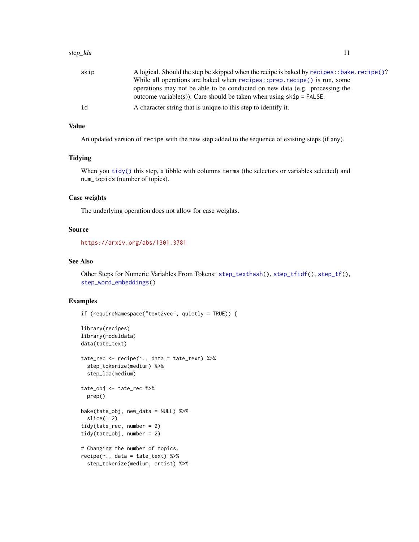<span id="page-10-0"></span>

| skip | A logical. Should the step be skipped when the recipe is baked by recipes: : bake. recipe()?                                                         |
|------|------------------------------------------------------------------------------------------------------------------------------------------------------|
|      | While all operations are baked when recipes::prep.recipe() is run, some                                                                              |
|      | operations may not be able to be conducted on new data (e.g. processing the<br>outcome variable(s)). Care should be taken when using $skip =$ FALSE. |
| id   | A character string that is unique to this step to identify it.                                                                                       |

#### Value

An updated version of recipe with the new step added to the sequence of existing steps (if any).

# Tidying

When you [tidy\(\)](#page-53-1) this step, a tibble with columns terms (the selectors or variables selected) and num\_topics (number of topics).

# Case weights

The underlying operation does not allow for case weights.

# Source

<https://arxiv.org/abs/1301.3781>

### See Also

Other Steps for Numeric Variables From Tokens: [step\\_texthash\(](#page-25-1)), [step\\_tfidf\(](#page-32-1)), [step\\_tf\(](#page-29-1)), [step\\_word\\_embeddings\(](#page-51-1))

```
if (requireNamespace("text2vec", quietly = TRUE)) {
library(recipes)
library(modeldata)
data(tate_text)
tate_rec <- recipe(~., data = tate_text) %>%
  step_tokenize(medium) %>%
  step_lda(medium)
tate_obj <- tate_rec %>%
  prep()
bake(tate_obj, new_data = NULL) %>%
  slice(1:2)
tidy(tate_rec, number = 2)
tidy(tate_obj, number = 2)
# Changing the number of topics.
recipe(\sim., data = tate_text) %>%
  step_tokenize(medium, artist) %>%
```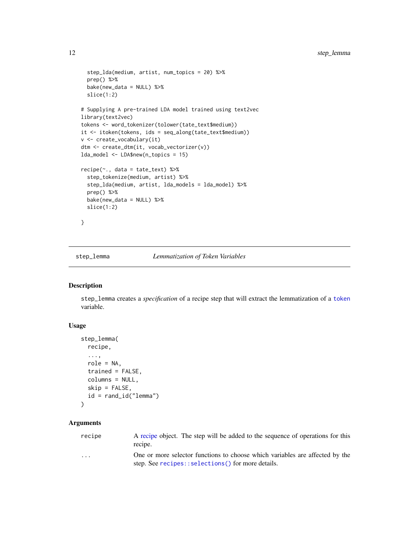```
step_lda(medium, artist, num_topics = 20) %>%
 prep() %>%
 bake(new_data = NULL) %>%
 slice(1:2)
# Supplying A pre-trained LDA model trained using text2vec
library(text2vec)
tokens <- word_tokenizer(tolower(tate_text$medium))
it <- itoken(tokens, ids = seq_along(tate_text$medium))
v <- create_vocabulary(it)
dtm <- create_dtm(it, vocab_vectorizer(v))
lda_model <- LDA$new(n_topics = 15)
recipe(~., data = tate_text) %>%
 step_tokenize(medium, artist) %>%
 step_lda(medium, artist, lda_models = lda_model) %>%
 prep() %>%
 bake(new_data = NULL) %>%
 slice(1:2)
}
```
<span id="page-11-1"></span>step\_lemma *Lemmatization of Token Variables*

# Description

step\_lemma creates a *specification* of a recipe step that will extract the lemmatization of a [token](#page-55-1) variable.

#### Usage

```
step_lemma(
  recipe,
  ...,
  role = NA,
  trained = FALSE,
  columns = NULL,
  skip = FALSE,
  id = rand_id("lemma")
\mathcal{L}
```
# Arguments

[recipe](#page-0-0) A recipe object. The step will be added to the sequence of operations for this recipe. ... One or more selector functions to choose which variables are affected by the step. See [recipes::selections\(\)](#page-0-0) for more details.

<span id="page-11-0"></span>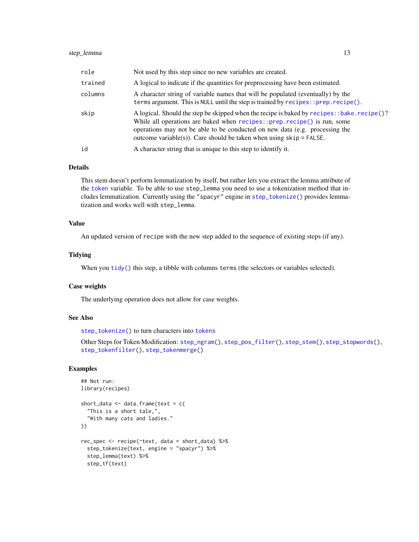<span id="page-12-0"></span>

| role    | Not used by this step since no new variables are created.                                                                                                                                                                                                                                                                         |
|---------|-----------------------------------------------------------------------------------------------------------------------------------------------------------------------------------------------------------------------------------------------------------------------------------------------------------------------------------|
| trained | A logical to indicate if the quantities for preprocessing have been estimated.                                                                                                                                                                                                                                                    |
| columns | A character string of variable names that will be populated (eventually) by the<br>terms argument. This is NULL until the step is trained by $recipes$ : prep. $recipe()$ .                                                                                                                                                       |
| skip    | A logical. Should the step be skipped when the recipe is baked by recipes: : bake. recipe()?<br>While all operations are baked when $recipes::prep.recipe()$ is run, some<br>operations may not be able to be conducted on new data (e.g. processing the<br>outcome variable(s)). Care should be taken when using $skip =$ FALSE. |
| id      | A character string that is unique to this step to identify it.                                                                                                                                                                                                                                                                    |

This stem doesn't perform lemmatization by itself, but rather lets you extract the lemma attribute of the [token](#page-55-1) variable. To be able to use step\_lemma you need to use a tokenization method that includes lemmatization. Currently using the "spacyr" engine in [step\\_tokenize\(\)](#page-37-1) provides lemmatization and works well with step\_lemma.

# Value

An updated version of recipe with the new step added to the sequence of existing steps (if any).

#### Tidying

When you [tidy\(\)](#page-53-1) this step, a tibble with columns terms (the selectors or variables selected).

# Case weights

The underlying operation does not allow for case weights.

#### See Also

[step\\_tokenize\(\)](#page-37-1) to turn characters into [tokens](#page-55-1)

Other Steps for Token Modification: [step\\_ngram\(](#page-13-1)), [step\\_pos\\_filter\(](#page-15-1)), [step\\_stem\(](#page-19-1)), [step\\_stopwords\(](#page-21-1)), [step\\_tokenfilter\(](#page-34-1)), [step\\_tokenmerge\(](#page-47-1))

```
## Not run:
library(recipes)
short_data <- data.frame(text = c(
  "This is a short tale,",
  "With many cats and ladies."
))
rec_spec <- recipe(~text, data = short_data) %>%
  step_tokenize(text, engine = "spacyr") %>%
  step_lemma(text) %>%
  step_tf(text)
```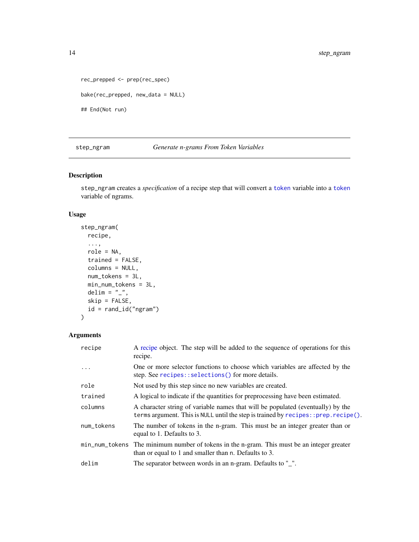```
rec_prepped <- prep(rec_spec)
bake(rec_prepped, new_data = NULL)
## End(Not run)
```
<span id="page-13-1"></span>step\_ngram *Generate n-grams From Token Variables*

# Description

step\_ngram creates a *specification* of a recipe step that will convert a [token](#page-55-1) variable into a [token](#page-55-1) variable of ngrams.

# Usage

```
step_ngram(
 recipe,
  ...,
 role = NA,
  trained = FALSE,
 columns = NULL,
 num_tokens = 3L,
 min_num_tokens = 3L,
 delim = "_",
  skip = FALSE,
 id = rand_id("ngram")
\mathcal{L}
```

| recipe     | A recipe object. The step will be added to the sequence of operations for this<br>recipe.                                                                                   |
|------------|-----------------------------------------------------------------------------------------------------------------------------------------------------------------------------|
| .          | One or more selector functions to choose which variables are affected by the<br>step. See recipes::selections() for more details.                                           |
| role       | Not used by this step since no new variables are created.                                                                                                                   |
| trained    | A logical to indicate if the quantities for preprocessing have been estimated.                                                                                              |
| columns    | A character string of variable names that will be populated (eventually) by the<br>terms argument. This is NULL until the step is trained by $recipes$ : prep. $recipe()$ . |
| num_tokens | The number of tokens in the n-gram. This must be an integer greater than or<br>equal to 1. Defaults to 3.                                                                   |
|            | min_num_tokens The minimum number of tokens in the n-gram. This must be an integer greater<br>than or equal to 1 and smaller than n. Defaults to 3.                         |
| delim      | The separator between words in an n-gram. Defaults to "_".                                                                                                                  |

<span id="page-13-0"></span>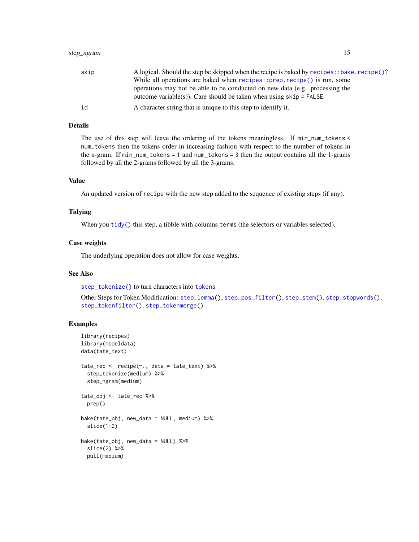<span id="page-14-0"></span>

| skip | A logical. Should the step be skipped when the recipe is baked by recipes: : bake. recipe()?                                                         |
|------|------------------------------------------------------------------------------------------------------------------------------------------------------|
|      | While all operations are baked when recipes::prep.recipe() is run, some                                                                              |
|      | operations may not be able to be conducted on new data (e.g. processing the<br>outcome variable(s)). Care should be taken when using $skip =$ FALSE. |
| id   | A character string that is unique to this step to identify it.                                                                                       |

The use of this step will leave the ordering of the tokens meaningless. If min\_num\_tokens < num\_tokens then the tokens order in increasing fashion with respect to the number of tokens in the n-gram. If min\_num\_tokens = 1 and num\_tokens = 3 then the output contains all the 1-grams followed by all the 2-grams followed by all the 3-grams.

# Value

An updated version of recipe with the new step added to the sequence of existing steps (if any).

#### Tidying

When you [tidy\(\)](#page-53-1) this step, a tibble with columns terms (the selectors or variables selected).

#### Case weights

The underlying operation does not allow for case weights.

#### See Also

[step\\_tokenize\(\)](#page-37-1) to turn characters into [tokens](#page-55-1)

Other Steps for Token Modification: [step\\_lemma\(](#page-11-1)), [step\\_pos\\_filter\(](#page-15-1)), [step\\_stem\(](#page-19-1)), [step\\_stopwords\(](#page-21-1)), [step\\_tokenfilter\(](#page-34-1)), [step\\_tokenmerge\(](#page-47-1))

```
library(recipes)
library(modeldata)
data(tate_text)
tate_rec <- recipe(~., data = tate_text) %>%
  step_tokenize(medium) %>%
  step_ngram(medium)
tate_obj <- tate_rec %>%
  prep()
bake(tate_obj, new_data = NULL, medium) %>%
  slice(1:2)
bake(tate_obj, new_data = NULL) %>%
  slice(2) %>%
  pull(medium)
```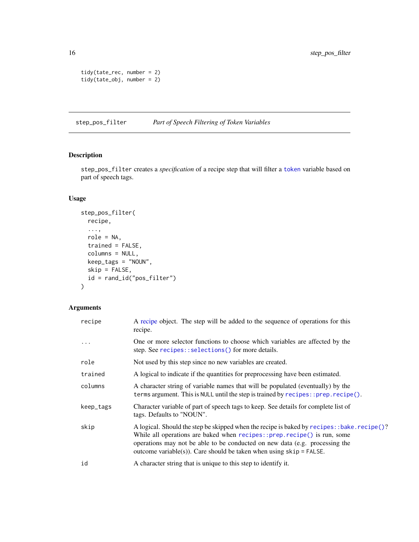```
tidy(tate_rec, number = 2)
tidy(tate_obj, number = 2)
```
<span id="page-15-1"></span>step\_pos\_filter *Part of Speech Filtering of Token Variables*

# Description

step\_pos\_filter creates a *specification* of a recipe step that will filter a [token](#page-55-1) variable based on part of speech tags.

# Usage

```
step_pos_filter(
 recipe,
  ...,
 role = NA,
  trained = FALSE,
 columns = NULL,
 keep_tags = "NOUN",
 skip = FALSE,
 id = rand_id("pos_filter")
\mathcal{L}
```

| recipe    | A recipe object. The step will be added to the sequence of operations for this<br>recipe.                                                                                                                                                                                                                                       |
|-----------|---------------------------------------------------------------------------------------------------------------------------------------------------------------------------------------------------------------------------------------------------------------------------------------------------------------------------------|
|           | One or more selector functions to choose which variables are affected by the<br>step. See recipes::selections() for more details.                                                                                                                                                                                               |
| role      | Not used by this step since no new variables are created.                                                                                                                                                                                                                                                                       |
| trained   | A logical to indicate if the quantities for preprocessing have been estimated.                                                                                                                                                                                                                                                  |
| columns   | A character string of variable names that will be populated (eventually) by the<br>terms argument. This is NULL until the step is trained by recipes:: prep.recipe().                                                                                                                                                           |
| keep_tags | Character variable of part of speech tags to keep. See details for complete list of<br>tags. Defaults to "NOUN".                                                                                                                                                                                                                |
| skip      | A logical. Should the step be skipped when the recipe is baked by recipes: : bake. recipe()?<br>While all operations are baked when recipes::prep.recipe() is run, some<br>operations may not be able to be conducted on new data (e.g. processing the<br>outcome variable(s)). Care should be taken when using $skip =$ FALSE. |
| id        | A character string that is unique to this step to identify it.                                                                                                                                                                                                                                                                  |

<span id="page-15-0"></span>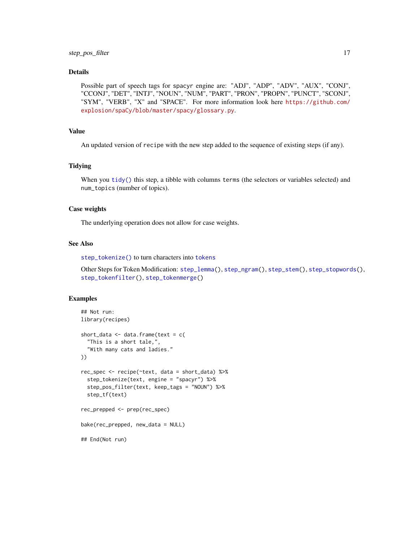<span id="page-16-0"></span>Possible part of speech tags for spacyr engine are: "ADJ", "ADP", "ADV", "AUX", "CONJ", "CCONJ", "DET", "INTJ", "NOUN", "NUM", "PART", "PRON", "PROPN", "PUNCT", "SCONJ", "SYM", "VERB", "X" and "SPACE". For more information look here [https://github.com/](https://github.com/explosion/spaCy/blob/master/spacy/glossary.py) [explosion/spaCy/blob/master/spacy/glossary.py](https://github.com/explosion/spaCy/blob/master/spacy/glossary.py).

# Value

An updated version of recipe with the new step added to the sequence of existing steps (if any).

# Tidying

When you [tidy\(\)](#page-53-1) this step, a tibble with columns terms (the selectors or variables selected) and num\_topics (number of topics).

#### Case weights

The underlying operation does not allow for case weights.

#### See Also

[step\\_tokenize\(\)](#page-37-1) to turn characters into [tokens](#page-55-1)

Other Steps for Token Modification: [step\\_lemma\(](#page-11-1)), [step\\_ngram\(](#page-13-1)), [step\\_stem\(](#page-19-1)), [step\\_stopwords\(](#page-21-1)), [step\\_tokenfilter\(](#page-34-1)), [step\\_tokenmerge\(](#page-47-1))

```
## Not run:
library(recipes)
short_data <- data.frame(text = c(
  "This is a short tale,",
  "With many cats and ladies."
))
rec_spec <- recipe(~text, data = short_data) %>%
  step_tokenize(text, engine = "spacyr") %>%
  step_pos_filter(text, keep_tags = "NOUN") %>%
  step_tf(text)
rec_prepped <- prep(rec_spec)
bake(rec_prepped, new_data = NULL)
## End(Not run)
```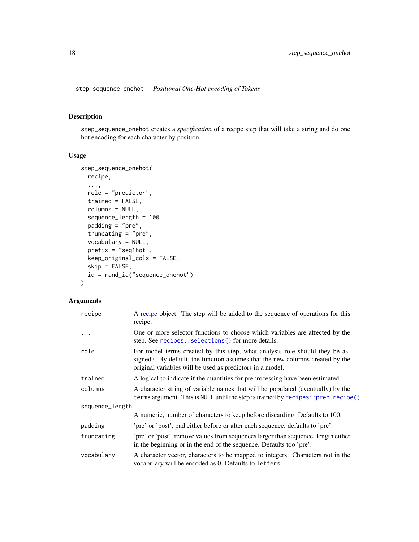<span id="page-17-1"></span><span id="page-17-0"></span>step\_sequence\_onehot *Positional One-Hot encoding of Tokens*

# Description

step\_sequence\_onehot creates a *specification* of a recipe step that will take a string and do one hot encoding for each character by position.

### Usage

```
step_sequence_onehot(
  recipe,
  ...,
 role = "predictor",
  trained = FALSE,
  columns = NULL,
  sequence_length = 100,
 padding = "pre",
  truncating = "pre",
  vocabulary = NULL,
  prefix = "seq1hot",
 keep_original_cols = FALSE,
  skip = FALSE,
  id = rand_id("sequence_onehot")
\mathcal{L}
```

| recipe          | A recipe object. The step will be added to the sequence of operations for this<br>recipe.                                                                                                                                 |
|-----------------|---------------------------------------------------------------------------------------------------------------------------------------------------------------------------------------------------------------------------|
| .               | One or more selector functions to choose which variables are affected by the<br>step. See recipes:: selections() for more details.                                                                                        |
| role            | For model terms created by this step, what analysis role should they be as-<br>signed?. By default, the function assumes that the new columns created by the<br>original variables will be used as predictors in a model. |
| trained         | A logical to indicate if the quantities for preprocessing have been estimated.                                                                                                                                            |
| columns         | A character string of variable names that will be populated (eventually) by the<br>terms argument. This is NULL until the step is trained by recipes:: prep.recipe().                                                     |
| sequence_length |                                                                                                                                                                                                                           |
|                 | A numeric, number of characters to keep before discarding. Defaults to 100.                                                                                                                                               |
| padding         | 'pre' or 'post', pad either before or after each sequence. defaults to 'pre'.                                                                                                                                             |
| truncating      | 'pre' or 'post', remove values from sequences larger than sequence_length either<br>in the beginning or in the end of the sequence. Defaults too 'pre'.                                                                   |
| vocabulary      | A character vector, characters to be mapped to integers. Characters not in the<br>vocabulary will be encoded as 0. Defaults to letters.                                                                                   |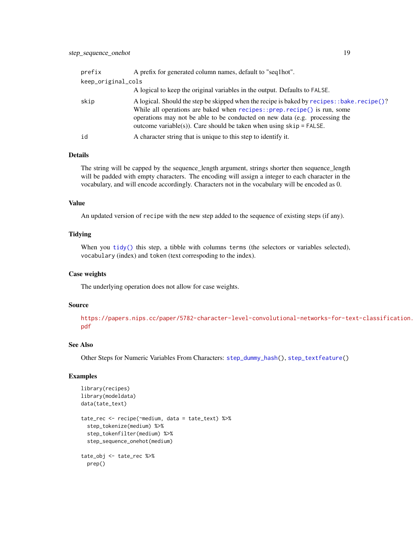<span id="page-18-0"></span>

| prefix | A prefix for generated column names, default to "seq1hot".                                                                                                                                                                                                                                                                        |  |  |
|--------|-----------------------------------------------------------------------------------------------------------------------------------------------------------------------------------------------------------------------------------------------------------------------------------------------------------------------------------|--|--|
|        | keep_original_cols                                                                                                                                                                                                                                                                                                                |  |  |
|        | A logical to keep the original variables in the output. Defaults to FALSE.                                                                                                                                                                                                                                                        |  |  |
| skip   | A logical. Should the step be skipped when the recipe is baked by recipes: : bake. recipe()?<br>While all operations are baked when $recipes::prep.recipe()$ is run, some<br>operations may not be able to be conducted on new data (e.g. processing the<br>outcome variable(s)). Care should be taken when using $skip =$ FALSE. |  |  |
| id     | A character string that is unique to this step to identify it.                                                                                                                                                                                                                                                                    |  |  |

The string will be capped by the sequence\_length argument, strings shorter then sequence\_length will be padded with empty characters. The encoding will assign a integer to each character in the vocabulary, and will encode accordingly. Characters not in the vocabulary will be encoded as 0.

#### Value

An updated version of recipe with the new step added to the sequence of existing steps (if any).

#### Tidying

When you [tidy\(\)](#page-53-1) this step, a tibble with columns terms (the selectors or variables selected), vocabulary (index) and token (text correspoding to the index).

#### Case weights

The underlying operation does not allow for case weights.

#### Source

[https://papers.nips.cc/paper/5782-character-level-convolutional-networks-for-te](https://papers.nips.cc/paper/5782-character-level-convolutional-networks-for-text-classification.pdf)xt-classification. [pdf](https://papers.nips.cc/paper/5782-character-level-convolutional-networks-for-text-classification.pdf)

# See Also

Other Steps for Numeric Variables From Characters: [step\\_dummy\\_hash\(](#page-6-1)), [step\\_textfeature\(](#page-23-1))

```
library(recipes)
library(modeldata)
data(tate_text)
tate_rec <- recipe(~medium, data = tate_text) %>%
  step_tokenize(medium) %>%
  step_tokenfilter(medium) %>%
  step_sequence_onehot(medium)
tate_obj <- tate_rec %>%
  prep()
```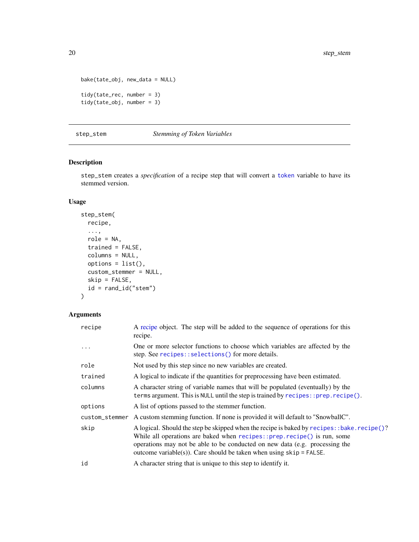```
bake(tate_obj, new_data = NULL)
tidy(tate_rec, number = 3)
tidy(tate_obj, number = 3)
```
#### <span id="page-19-1"></span>step\_stem *Stemming of Token Variables*

# Description

step\_stem creates a *specification* of a recipe step that will convert a [token](#page-55-1) variable to have its stemmed version.

# Usage

```
step_stem(
 recipe,
  ...,
 role = NA,
 trained = FALSE,
 columns = NULL,
 options = list(),
 custom_stemmer = NULL,
 skip = FALSE,
  id = rand_id("stem")
)
```

| recipe         | A recipe object. The step will be added to the sequence of operations for this<br>recipe.                                                                                                                                                                                                                                       |
|----------------|---------------------------------------------------------------------------------------------------------------------------------------------------------------------------------------------------------------------------------------------------------------------------------------------------------------------------------|
| .              | One or more selector functions to choose which variables are affected by the<br>step. See recipes::selections() for more details.                                                                                                                                                                                               |
| role           | Not used by this step since no new variables are created.                                                                                                                                                                                                                                                                       |
| trained        | A logical to indicate if the quantities for preprocessing have been estimated.                                                                                                                                                                                                                                                  |
| columns        | A character string of variable names that will be populated (eventually) by the<br>terms argument. This is NULL until the step is trained by recipes:: prep.recipe().                                                                                                                                                           |
| options        | A list of options passed to the stemmer function.                                                                                                                                                                                                                                                                               |
| custom_stemmer | A custom stemming function. If none is provided it will default to "SnowballC".                                                                                                                                                                                                                                                 |
| skip           | A logical. Should the step be skipped when the recipe is baked by recipes: : bake. recipe()?<br>While all operations are baked when recipes::prep.recipe() is run, some<br>operations may not be able to be conducted on new data (e.g. processing the<br>outcome variable(s)). Care should be taken when using $skip =$ FALSE. |
| id             | A character string that is unique to this step to identify it.                                                                                                                                                                                                                                                                  |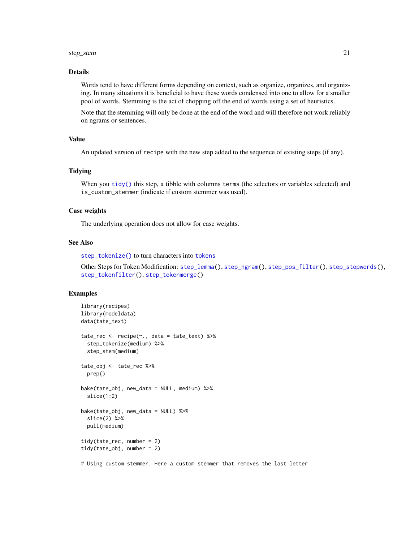#### <span id="page-20-0"></span>step\_stem 21

#### Details

Words tend to have different forms depending on context, such as organize, organizes, and organizing. In many situations it is beneficial to have these words condensed into one to allow for a smaller pool of words. Stemming is the act of chopping off the end of words using a set of heuristics.

Note that the stemming will only be done at the end of the word and will therefore not work reliably on ngrams or sentences.

# Value

An updated version of recipe with the new step added to the sequence of existing steps (if any).

#### **Tidying**

When you [tidy\(\)](#page-53-1) this step, a tibble with columns terms (the selectors or variables selected) and is\_custom\_stemmer (indicate if custom stemmer was used).

# Case weights

The underlying operation does not allow for case weights.

#### See Also

[step\\_tokenize\(\)](#page-37-1) to turn characters into [tokens](#page-55-1)

Other Steps for Token Modification: [step\\_lemma\(](#page-11-1)), [step\\_ngram\(](#page-13-1)), [step\\_pos\\_filter\(](#page-15-1)), [step\\_stopwords\(](#page-21-1)), [step\\_tokenfilter\(](#page-34-1)), [step\\_tokenmerge\(](#page-47-1))

```
library(recipes)
library(modeldata)
data(tate_text)
tate_rec <- recipe(~., data = tate_text) %>%
  step_tokenize(medium) %>%
  step_stem(medium)
tate_obj <- tate_rec %>%
  prep()
bake(tate_obj, new_data = NULL, medium) %>%
  slice(1:2)
bake(tate_obj, new_data = NULL) %>%
  slice(2) %>%
  pull(medium)
tidy(tate_rec, number = 2)
tidy(tate_obj, number = 2)
# Using custom stemmer. Here a custom stemmer that removes the last letter
```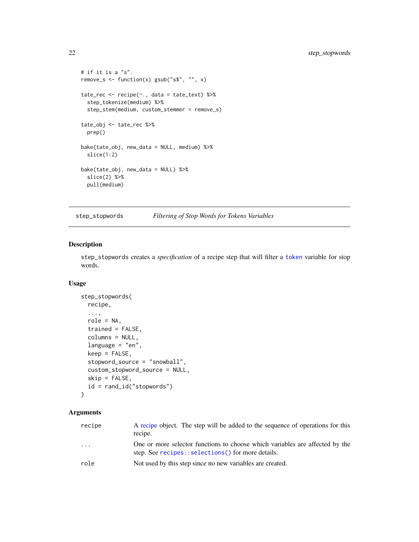```
# if it is a "s".
remove_s <- function(x) gsub("s$", "", x)
tate_rec <- recipe(~., data = tate_text) %>%
  step_tokenize(medium) %>%
  step_stem(medium, custom_stemmer = remove_s)
tate_obj <- tate_rec %>%
  prep()
bake(tate_obj, new_data = NULL, medium) %>%
  slice(1:2)
bake(tate_obj, new_data = NULL) %>%
  slice(2) %>%
  pull(medium)
```
<span id="page-21-1"></span>step\_stopwords *Filtering of Stop Words for Tokens Variables*

#### Description

step\_stopwords creates a *specification* of a recipe step that will filter a [token](#page-55-1) variable for stop words.

#### Usage

```
step_stopwords(
 recipe,
  ...,
  role = NA,
  trained = FALSE,
  columns = NULL,
  language = "en",
  keep = FALSE,stopword_source = "snowball",
  custom_stopword_source = NULL,
  skip = FALSE,
  id = rand_id("stopwords")
\mathcal{L}
```

| recipe                  | A recipe object. The step will be added to the sequence of operations for this<br>recipe.                                         |
|-------------------------|-----------------------------------------------------------------------------------------------------------------------------------|
| $\cdot$ $\cdot$ $\cdot$ | One or more selector functions to choose which variables are affected by the<br>step. See recipes::selections() for more details. |
| role                    | Not used by this step since no new variables are created.                                                                         |

<span id="page-21-0"></span>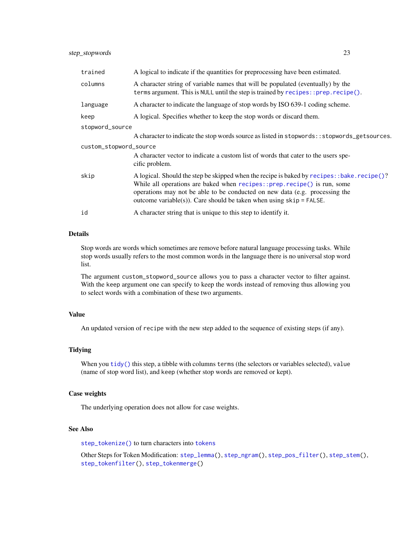# <span id="page-22-0"></span>step\_stopwords 23

| trained                | A logical to indicate if the quantities for preprocessing have been estimated.                                                                                                                                                                                                                                                  |  |
|------------------------|---------------------------------------------------------------------------------------------------------------------------------------------------------------------------------------------------------------------------------------------------------------------------------------------------------------------------------|--|
| columns                | A character string of variable names that will be populated (eventually) by the<br>terms argument. This is NULL until the step is trained by recipes:: prep.recipe().                                                                                                                                                           |  |
| language               | A character to indicate the language of stop words by ISO 639-1 coding scheme.                                                                                                                                                                                                                                                  |  |
| keep                   | A logical. Specifies whether to keep the stop words or discard them.                                                                                                                                                                                                                                                            |  |
| stopword_source        |                                                                                                                                                                                                                                                                                                                                 |  |
|                        | A character to indicate the stop words source as listed in stopwords: : stopwords_getsources.                                                                                                                                                                                                                                   |  |
| custom_stopword_source |                                                                                                                                                                                                                                                                                                                                 |  |
|                        | A character vector to indicate a custom list of words that cater to the users spe-<br>cific problem.                                                                                                                                                                                                                            |  |
| skip                   | A logical. Should the step be skipped when the recipe is baked by recipes: : bake. recipe()?<br>While all operations are baked when recipes::prep.recipe() is run, some<br>operations may not be able to be conducted on new data (e.g. processing the<br>outcome variable(s)). Care should be taken when using $skip =$ FALSE. |  |
| id                     | A character string that is unique to this step to identify it.                                                                                                                                                                                                                                                                  |  |

# Details

Stop words are words which sometimes are remove before natural language processing tasks. While stop words usually refers to the most common words in the language there is no universal stop word list.

The argument custom\_stopword\_source allows you to pass a character vector to filter against. With the keep argument one can specify to keep the words instead of removing thus allowing you to select words with a combination of these two arguments.

#### Value

An updated version of recipe with the new step added to the sequence of existing steps (if any).

# **Tidying**

When you [tidy\(\)](#page-53-1) this step, a tibble with columns terms (the selectors or variables selected), value (name of stop word list), and keep (whether stop words are removed or kept).

#### Case weights

The underlying operation does not allow for case weights.

# See Also

[step\\_tokenize\(\)](#page-37-1) to turn characters into [tokens](#page-55-1)

Other Steps for Token Modification: [step\\_lemma\(](#page-11-1)), [step\\_ngram\(](#page-13-1)), [step\\_pos\\_filter\(](#page-15-1)), [step\\_stem\(](#page-19-1)), [step\\_tokenfilter\(](#page-34-1)), [step\\_tokenmerge\(](#page-47-1))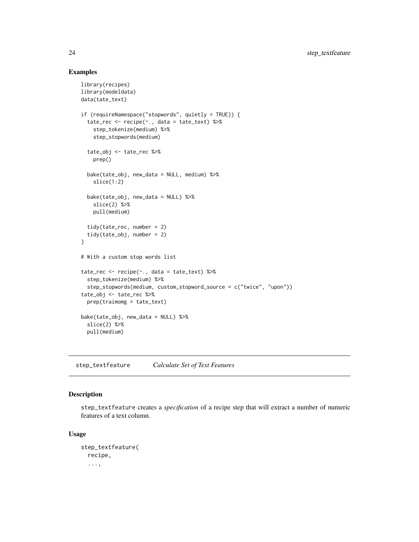#### Examples

```
library(recipes)
library(modeldata)
data(tate_text)
if (requireNamespace("stopwords", quietly = TRUE)) {
  tate_rec <- recipe(~., data = tate_text) %>%
   step_tokenize(medium) %>%
    step_stopwords(medium)
  tate_obj <- tate_rec %>%
   prep()
  bake(tate_obj, new_data = NULL, medium) %>%
    slice(1:2)
  bake(tate_obj, new_data = NULL) %>%
    slice(2) %>%
   pull(medium)
  tidy(tate_rec, number = 2)
  tidy(tate_obj, number = 2)
}
# With a custom stop words list
tate_rec <- recipe(~., data = tate_text) %>%
  step_tokenize(medium) %>%
  step_stopwords(medium, custom_stopword_source = c("twice", "upon"))
tate_obj <- tate_rec %>%
  prep(traimomg = tate_text)
bake(tate_obj, new_data = NULL) %>%
  slice(2) %>%
  pull(medium)
```
<span id="page-23-1"></span>step\_textfeature *Calculate Set of Text Features*

# Description

step\_textfeature creates a *specification* of a recipe step that will extract a number of numeric features of a text column.

#### Usage

```
step_textfeature(
  recipe,
  ...,
```
<span id="page-23-0"></span>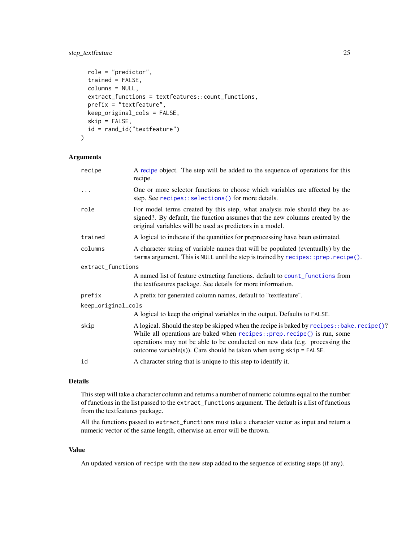# <span id="page-24-0"></span>step\_textfeature 25

```
role = "predictor",
  trained = FALSE,
 columns = NULL,
 extract_functions = textfeatures::count_functions,
 prefix = "textfeature",
 keep_original_cols = FALSE,
  skip = FALSE,
  id = rand_id("textfeature")
\lambda
```
# Arguments

| recipe             | A recipe object. The step will be added to the sequence of operations for this<br>recipe.                                                                                                                                                                                                                                         |  |
|--------------------|-----------------------------------------------------------------------------------------------------------------------------------------------------------------------------------------------------------------------------------------------------------------------------------------------------------------------------------|--|
| .                  | One or more selector functions to choose which variables are affected by the<br>step. See recipes::selections() for more details.                                                                                                                                                                                                 |  |
| role               | For model terms created by this step, what analysis role should they be as-<br>signed?. By default, the function assumes that the new columns created by the<br>original variables will be used as predictors in a model.                                                                                                         |  |
| trained            | A logical to indicate if the quantities for preprocessing have been estimated.                                                                                                                                                                                                                                                    |  |
| columns            | A character string of variable names that will be populated (eventually) by the<br>terms argument. This is NULL until the step is trained by recipes:: prep.recipe().                                                                                                                                                             |  |
| extract_functions  |                                                                                                                                                                                                                                                                                                                                   |  |
|                    | A named list of feature extracting functions. default to count_functions from<br>the textfeatures package. See details for more information.                                                                                                                                                                                      |  |
| prefix             | A prefix for generated column names, default to "textfeature".                                                                                                                                                                                                                                                                    |  |
| keep_original_cols |                                                                                                                                                                                                                                                                                                                                   |  |
|                    | A logical to keep the original variables in the output. Defaults to FALSE.                                                                                                                                                                                                                                                        |  |
| skip               | A logical. Should the step be skipped when the recipe is baked by recipes: : bake. recipe()?<br>While all operations are baked when recipes:: prep. recipe() is run, some<br>operations may not be able to be conducted on new data (e.g. processing the<br>outcome variable(s)). Care should be taken when using $skip =$ FALSE. |  |
| id                 | A character string that is unique to this step to identify it.                                                                                                                                                                                                                                                                    |  |

#### Details

This step will take a character column and returns a number of numeric columns equal to the number of functions in the list passed to the extract\_functions argument. The default is a list of functions from the textfeatures package.

All the functions passed to extract\_functions must take a character vector as input and return a numeric vector of the same length, otherwise an error will be thrown.

#### Value

An updated version of recipe with the new step added to the sequence of existing steps (if any).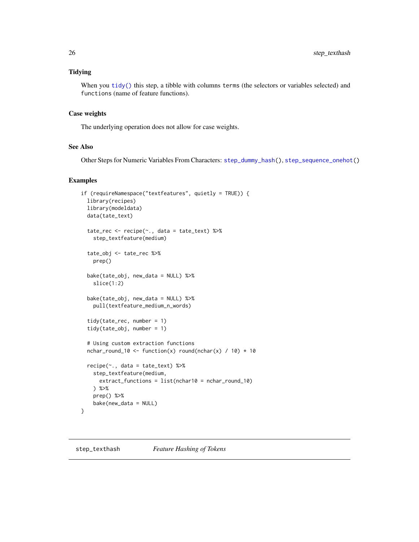# <span id="page-25-0"></span>Tidying

When you [tidy\(\)](#page-53-1) this step, a tibble with columns terms (the selectors or variables selected) and functions (name of feature functions).

# Case weights

The underlying operation does not allow for case weights.

# See Also

Other Steps for Numeric Variables From Characters: [step\\_dummy\\_hash\(](#page-6-1)), [step\\_sequence\\_onehot\(](#page-17-1))

```
if (requireNamespace("textfeatures", quietly = TRUE)) {
 library(recipes)
 library(modeldata)
 data(tate_text)
 tate_rec <- recipe(~., data = tate_text) %>%
   step_textfeature(medium)
 tate_obj <- tate_rec %>%
   prep()
 bake(tate_obj, new_data = NULL) %>%
   slice(1:2)
 bake(tate_obj, new_data = NULL) %>%
   pull(textfeature_medium_n_words)
 tidy(tate_rec, number = 1)
 tidy(tate_obj, number = 1)
 # Using custom extraction functions
 nchar_round_10 <- function(x) round(nchar(x) / 10) * 10
 recipe(~., data = tate_text) %>%
   step_textfeature(medium,
     extract_functions = list(nchar10 = nchar_round_10)
   ) %>%
   prep() %>%
   bake(new_data = NULL)
}
```
<span id="page-25-1"></span>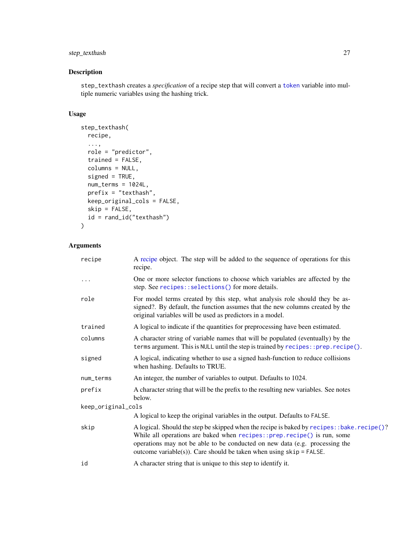# <span id="page-26-0"></span>step\_texthash 27

# Description

step\_texthash creates a *specification* of a recipe step that will convert a [token](#page-55-1) variable into multiple numeric variables using the hashing trick.

# Usage

```
step_texthash(
 recipe,
  ...,
 role = "predictor",
  trained = FALSE,
 columns = NULL,
  signed = TRUE,
 num_terms = 1024L,
 prefix = "texthash",
 keep_original_cols = FALSE,
  skip = FALSE,
  id = rand_id("texthash")
)
```

| recipe             | A recipe object. The step will be added to the sequence of operations for this<br>recipe.                                                                                                                                                                                                                                         |
|--------------------|-----------------------------------------------------------------------------------------------------------------------------------------------------------------------------------------------------------------------------------------------------------------------------------------------------------------------------------|
| .                  | One or more selector functions to choose which variables are affected by the<br>step. See recipes::selections() for more details.                                                                                                                                                                                                 |
| role               | For model terms created by this step, what analysis role should they be as-<br>signed?. By default, the function assumes that the new columns created by the<br>original variables will be used as predictors in a model.                                                                                                         |
| trained            | A logical to indicate if the quantities for preprocessing have been estimated.                                                                                                                                                                                                                                                    |
| columns            | A character string of variable names that will be populated (eventually) by the<br>terms argument. This is NULL until the step is trained by recipes:: prep.recipe().                                                                                                                                                             |
| signed             | A logical, indicating whether to use a signed hash-function to reduce collisions<br>when hashing. Defaults to TRUE.                                                                                                                                                                                                               |
| num_terms          | An integer, the number of variables to output. Defaults to 1024.                                                                                                                                                                                                                                                                  |
| prefix             | A character string that will be the prefix to the resulting new variables. See notes<br>below.                                                                                                                                                                                                                                    |
| keep_original_cols |                                                                                                                                                                                                                                                                                                                                   |
|                    | A logical to keep the original variables in the output. Defaults to FALSE.                                                                                                                                                                                                                                                        |
| skip               | A logical. Should the step be skipped when the recipe is baked by recipes: : bake. recipe()?<br>While all operations are baked when recipes:: prep. recipe() is run, some<br>operations may not be able to be conducted on new data (e.g. processing the<br>outcome variable(s)). Care should be taken when using $skip =$ FALSE. |
| id                 | A character string that is unique to this step to identify it.                                                                                                                                                                                                                                                                    |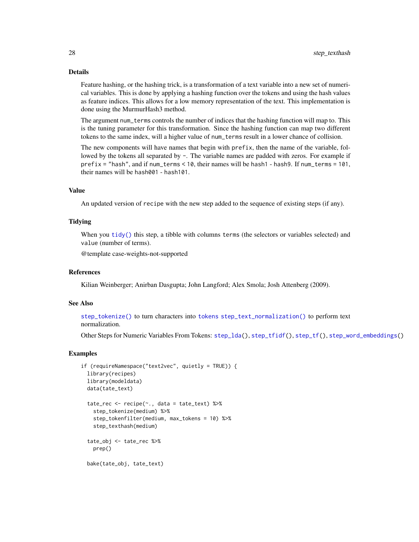<span id="page-27-0"></span>Feature hashing, or the hashing trick, is a transformation of a text variable into a new set of numerical variables. This is done by applying a hashing function over the tokens and using the hash values as feature indices. This allows for a low memory representation of the text. This implementation is done using the MurmurHash3 method.

The argument num\_terms controls the number of indices that the hashing function will map to. This is the tuning parameter for this transformation. Since the hashing function can map two different tokens to the same index, will a higher value of num\_terms result in a lower chance of collision.

The new components will have names that begin with prefix, then the name of the variable, followed by the tokens all separated by -. The variable names are padded with zeros. For example if prefix = "hash", and if num\_terms < 10, their names will be hash1 - hash9. If num\_terms = 101, their names will be hash001 - hash101.

#### Value

An updated version of recipe with the new step added to the sequence of existing steps (if any).

#### **Tidying**

When you [tidy\(\)](#page-53-1) this step, a tibble with columns terms (the selectors or variables selected) and value (number of terms).

@template case-weights-not-supported

#### References

Kilian Weinberger; Anirban Dasgupta; John Langford; Alex Smola; Josh Attenberg (2009).

#### See Also

[step\\_tokenize\(\)](#page-37-1) to turn characters into [tokens](#page-55-1) [step\\_text\\_normalization\(\)](#page-28-1) to perform text normalization.

Other Steps for Numeric Variables From Tokens: [step\\_lda\(](#page-9-1)), [step\\_tfidf\(](#page-32-1)), [step\\_tf\(](#page-29-1)), [step\\_word\\_embeddings\(](#page-51-1))

```
if (requireNamespace("text2vec", quietly = TRUE)) {
 library(recipes)
 library(modeldata)
 data(tate_text)
 tate_rec <- recipe(~., data = tate_text) %>%
   step_tokenize(medium) %>%
   step_tokenfilter(medium, max_tokens = 10) %>%
   step_texthash(medium)
 tate_obj <- tate_rec %>%
   prep()
 bake(tate_obj, tate_text)
```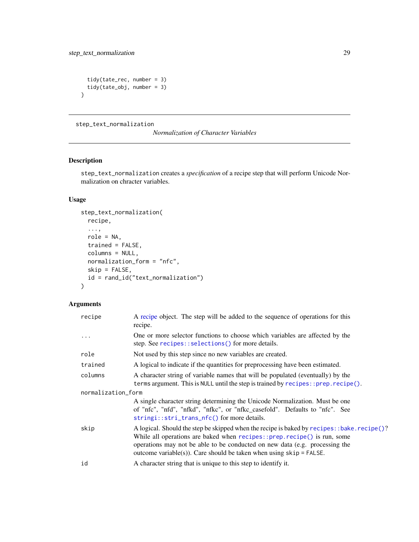```
tidy(tate_rec, number = 3)
 tidy(tate_obj, number = 3)
}
```
<span id="page-28-1"></span>step\_text\_normalization

*Normalization of Character Variables*

# Description

step\_text\_normalization creates a *specification* of a recipe step that will perform Unicode Normalization on chracter variables.

# Usage

```
step_text_normalization(
 recipe,
  ...,
 role = NA,
  trained = FALSE,
 columns = NULL,
 normalization_form = "nfc",
 skip = FALSE,
  id = rand_id("text_normalization")
)
```

| recipe             | A recipe object. The step will be added to the sequence of operations for this<br>recipe.                                                                                                                                                                                                                                       |  |
|--------------------|---------------------------------------------------------------------------------------------------------------------------------------------------------------------------------------------------------------------------------------------------------------------------------------------------------------------------------|--|
| .                  | One or more selector functions to choose which variables are affected by the<br>step. See recipes::selections() for more details.                                                                                                                                                                                               |  |
| role               | Not used by this step since no new variables are created.                                                                                                                                                                                                                                                                       |  |
| trained            | A logical to indicate if the quantities for preprocessing have been estimated.                                                                                                                                                                                                                                                  |  |
| columns            | A character string of variable names that will be populated (eventually) by the<br>terms argument. This is NULL until the step is trained by recipes:: prep.recipe().                                                                                                                                                           |  |
| normalization_form |                                                                                                                                                                                                                                                                                                                                 |  |
|                    | A single character string determining the Unicode Normalization. Must be one<br>of "nfc", "nfd", "nfkd", "nfkc", or "nfkc_casefold". Defaults to "nfc". See<br>$stringi::stri\_trans\_nfc()$ for more details.                                                                                                                  |  |
| skip               | A logical. Should the step be skipped when the recipe is baked by recipes: : bake. recipe()?<br>While all operations are baked when recipes::prep.recipe() is run, some<br>operations may not be able to be conducted on new data (e.g. processing the<br>outcome variable(s)). Care should be taken when using $skip =$ FALSE. |  |
| id                 | A character string that is unique to this step to identify it.                                                                                                                                                                                                                                                                  |  |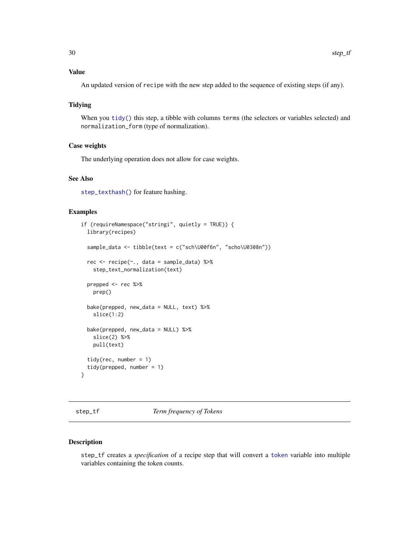# <span id="page-29-0"></span>Value

An updated version of recipe with the new step added to the sequence of existing steps (if any).

# Tidying

When you [tidy\(\)](#page-53-1) this step, a tibble with columns terms (the selectors or variables selected) and normalization\_form (type of normalization).

# Case weights

The underlying operation does not allow for case weights.

#### See Also

[step\\_texthash\(\)](#page-25-1) for feature hashing.

#### Examples

```
if (requireNamespace("stringi", quietly = TRUE)) {
 library(recipes)
 sample_data <- tibble(text = c("sch\U00f6n", "scho\U0308n"))
 rec <- recipe(~., data = sample_data) %>%
   step_text_normalization(text)
 prepped <- rec %>%
   prep()
 bake(prepped, new_data = NULL, text) %>%
    slice(1:2)
 bake(prepped, new_data = NULL) %>%
    slice(2) %>%
   pull(text)
 tidy(rec, number = 1)
 tidy(prepped, number = 1)
}
```
<span id="page-29-1"></span>step\_tf *Term frequency of Tokens*

#### Description

step\_tf creates a *specification* of a recipe step that will convert a [token](#page-55-1) variable into multiple variables containing the token counts.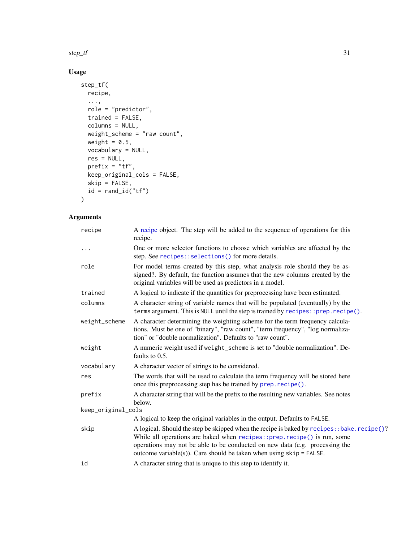<span id="page-30-0"></span> $step\_tf$  31

# Usage

```
step_tf(
  recipe,
  ...,
  role = "predictor",
  trained = FALSE,
  columns = NULL,
  weight_scheme = "raw count",
  weight = 0.5,
  vocabulary = NULL,
  res = NULL,
  prefix = "tf",keep_original_cols = FALSE,
  skip = FALSE,
 id = rand_id("tf")\mathcal{L}
```

| recipe             | A recipe object. The step will be added to the sequence of operations for this<br>recipe.                                                                                                                                                                                                                                      |
|--------------------|--------------------------------------------------------------------------------------------------------------------------------------------------------------------------------------------------------------------------------------------------------------------------------------------------------------------------------|
| $\cdots$           | One or more selector functions to choose which variables are affected by the<br>step. See recipes::selections() for more details.                                                                                                                                                                                              |
| role               | For model terms created by this step, what analysis role should they be as-<br>signed?. By default, the function assumes that the new columns created by the<br>original variables will be used as predictors in a model.                                                                                                      |
| trained            | A logical to indicate if the quantities for preprocessing have been estimated.                                                                                                                                                                                                                                                 |
| columns            | A character string of variable names that will be populated (eventually) by the<br>terms argument. This is NULL until the step is trained by recipes: : prep. $recipe()$ .                                                                                                                                                     |
| weight_scheme      | A character determining the weighting scheme for the term frequency calcula-<br>tions. Must be one of "binary", "raw count", "term frequency", "log normaliza-<br>tion" or "double normalization". Defaults to "raw count".                                                                                                    |
| weight             | A numeric weight used if weight_scheme is set to "double normalization". De-<br>faults to 0.5.                                                                                                                                                                                                                                 |
| vocabulary         | A character vector of strings to be considered.                                                                                                                                                                                                                                                                                |
| res                | The words that will be used to calculate the term frequency will be stored here<br>once this preprocessing step has be trained by prep. recipe().                                                                                                                                                                              |
| prefix             | A character string that will be the prefix to the resulting new variables. See notes<br>below.                                                                                                                                                                                                                                 |
| keep_original_cols |                                                                                                                                                                                                                                                                                                                                |
|                    | A logical to keep the original variables in the output. Defaults to FALSE.                                                                                                                                                                                                                                                     |
| skip               | A logical. Should the step be skipped when the recipe is baked by recipes: :bake.recipe()?<br>While all operations are baked when recipes:: prep.recipe() is run, some<br>operations may not be able to be conducted on new data (e.g. processing the<br>outcome variable(s)). Care should be taken when using $skip =$ FALSE. |
| id                 | A character string that is unique to this step to identify it.                                                                                                                                                                                                                                                                 |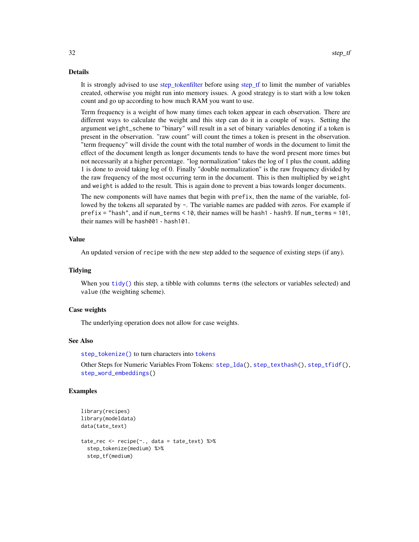<span id="page-31-0"></span>It is strongly advised to use step tokenfilter before using step tf to limit the number of variables created, otherwise you might run into memory issues. A good strategy is to start with a low token count and go up according to how much RAM you want to use.

Term frequency is a weight of how many times each token appear in each observation. There are different ways to calculate the weight and this step can do it in a couple of ways. Setting the argument weight\_scheme to "binary" will result in a set of binary variables denoting if a token is present in the observation. "raw count" will count the times a token is present in the observation. "term frequency" will divide the count with the total number of words in the document to limit the effect of the document length as longer documents tends to have the word present more times but not necessarily at a higher percentage. "log normalization" takes the log of 1 plus the count, adding 1 is done to avoid taking log of 0. Finally "double normalization" is the raw frequency divided by the raw frequency of the most occurring term in the document. This is then multiplied by weight and weight is added to the result. This is again done to prevent a bias towards longer documents.

The new components will have names that begin with prefix, then the name of the variable, followed by the tokens all separated by -. The variable names are padded with zeros. For example if prefix = "hash", and if num\_terms < 10, their names will be hash1 - hash9. If num\_terms = 101, their names will be hash001 - hash101.

### Value

An updated version of recipe with the new step added to the sequence of existing steps (if any).

#### **Tidying**

When you [tidy\(\)](#page-53-1) this step, a tibble with columns terms (the selectors or variables selected) and value (the weighting scheme).

#### Case weights

The underlying operation does not allow for case weights.

#### See Also

[step\\_tokenize\(\)](#page-37-1) to turn characters into [tokens](#page-55-1)

Other Steps for Numeric Variables From Tokens: [step\\_lda\(](#page-9-1)), [step\\_texthash\(](#page-25-1)), [step\\_tfidf\(](#page-32-1)), [step\\_word\\_embeddings\(](#page-51-1))

```
library(recipes)
library(modeldata)
data(tate_text)
tate_rec <- recipe(~., data = tate_text) %>%
 step_tokenize(medium) %>%
 step_tf(medium)
```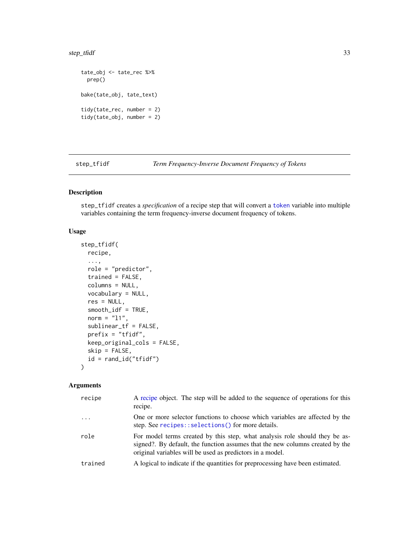<span id="page-32-0"></span>step\_tfidf 33

```
tate_obj <- tate_rec %>%
  prep()
bake(tate_obj, tate_text)
tidy(tate_rec, number = 2)
tidy(tate_obj, number = 2)
```
<span id="page-32-1"></span>step\_tfidf *Term Frequency-Inverse Document Frequency of Tokens*

# Description

step\_tfidf creates a *specification* of a recipe step that will convert a [token](#page-55-1) variable into multiple variables containing the term frequency-inverse document frequency of tokens.

#### Usage

```
step_tfidf(
  recipe,
  ...,
  role = "predictor",
  trained = FALSE,
  columns = NULL,
  vocabulary = NULL,
  res = NULL,smooth_idf = TRUE,
  norm = "11",
  sublinear_tf = FALSE,
 prefix = "tfidf",
  keep_original_cols = FALSE,
  skip = FALSE,
  id = rand_id("tfidf")\mathcal{L}
```

| recipe   | A recipe object. The step will be added to the sequence of operations for this<br>recipe.                                                                                                                                 |
|----------|---------------------------------------------------------------------------------------------------------------------------------------------------------------------------------------------------------------------------|
| $\ddots$ | One or more selector functions to choose which variables are affected by the<br>step. See recipes::selections() for more details.                                                                                         |
| role     | For model terms created by this step, what analysis role should they be as-<br>signed?. By default, the function assumes that the new columns created by the<br>original variables will be used as predictors in a model. |
| trained  | A logical to indicate if the quantities for preprocessing have been estimated.                                                                                                                                            |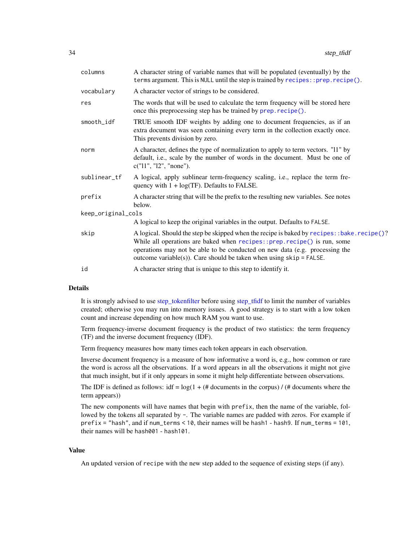<span id="page-33-0"></span>

| columns            | A character string of variable names that will be populated (eventually) by the<br>terms argument. This is NULL until the step is trained by recipes:: prep.recipe().                                                                                                                                                            |
|--------------------|----------------------------------------------------------------------------------------------------------------------------------------------------------------------------------------------------------------------------------------------------------------------------------------------------------------------------------|
| vocabulary         | A character vector of strings to be considered.                                                                                                                                                                                                                                                                                  |
| res                | The words that will be used to calculate the term frequency will be stored here<br>once this preprocessing step has be trained by prep. recipe().                                                                                                                                                                                |
| smooth_idf         | TRUE smooth IDF weights by adding one to document frequencies, as if an<br>extra document was seen containing every term in the collection exactly once.<br>This prevents division by zero.                                                                                                                                      |
| norm               | A character, defines the type of normalization to apply to term vectors. "11" by<br>default, i.e., scale by the number of words in the document. Must be one of<br>c("11", "12", "none").                                                                                                                                        |
| sublinear_tf       | A logical, apply sublinear term-frequency scaling, i.e., replace the term fre-<br>quency with $1 + \log(TF)$ . Defaults to FALSE.                                                                                                                                                                                                |
| prefix             | A character string that will be the prefix to the resulting new variables. See notes<br>below.                                                                                                                                                                                                                                   |
| keep_original_cols |                                                                                                                                                                                                                                                                                                                                  |
|                    | A logical to keep the original variables in the output. Defaults to FALSE.                                                                                                                                                                                                                                                       |
| skip               | A logical. Should the step be skipped when the recipe is baked by recipes: : bake. recipe()?<br>While all operations are baked when recipes:: prep.recipe() is run, some<br>operations may not be able to be conducted on new data (e.g. processing the<br>outcome variable(s)). Care should be taken when using $skip =$ FALSE. |
| id                 | A character string that is unique to this step to identify it.                                                                                                                                                                                                                                                                   |
|                    |                                                                                                                                                                                                                                                                                                                                  |

It is strongly advised to use [step\\_tokenfilter](#page-34-1) before using [step\\_tfidf](#page-32-1) to limit the number of variables created; otherwise you may run into memory issues. A good strategy is to start with a low token count and increase depending on how much RAM you want to use.

Term frequency-inverse document frequency is the product of two statistics: the term frequency (TF) and the inverse document frequency (IDF).

Term frequency measures how many times each token appears in each observation.

Inverse document frequency is a measure of how informative a word is, e.g., how common or rare the word is across all the observations. If a word appears in all the observations it might not give that much insight, but if it only appears in some it might help differentiate between observations.

The IDF is defined as follows:  $\text{idf} = \log(1 + (\text{# documents in the corpus}) / (\text{# documents where the})$ term appears))

The new components will have names that begin with prefix, then the name of the variable, followed by the tokens all separated by -. The variable names are padded with zeros. For example if prefix = "hash", and if num\_terms < 10, their names will be hash1 - hash9. If num\_terms = 101, their names will be hash001 - hash101.

#### Value

An updated version of recipe with the new step added to the sequence of existing steps (if any).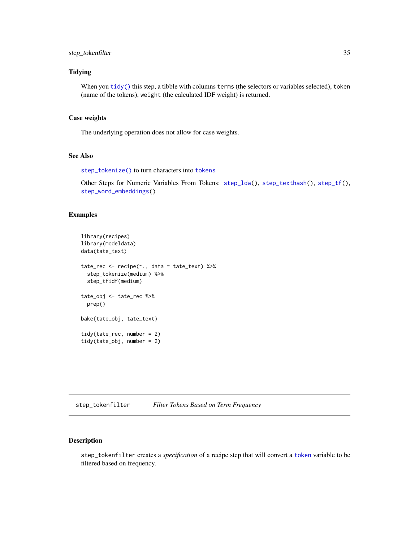# <span id="page-34-0"></span>step\_tokenfilter 35

# **Tidying**

When you [tidy\(\)](#page-53-1) this step, a tibble with columns terms (the selectors or variables selected), token (name of the tokens), weight (the calculated IDF weight) is returned.

# Case weights

The underlying operation does not allow for case weights.

# See Also

[step\\_tokenize\(\)](#page-37-1) to turn characters into [tokens](#page-55-1)

```
Other Steps for Numeric Variables From Tokens: step_lda(), step_texthash(), step_tf(),
step_word_embeddings()
```
# Examples

```
library(recipes)
library(modeldata)
data(tate_text)
tate_rec <- recipe(~., data = tate_text) %>%
  step_tokenize(medium) %>%
  step_tfidf(medium)
tate_obj <- tate_rec %>%
  prep()
bake(tate_obj, tate_text)
tidy(tate_rec, number = 2)
tidy(tate_obj, number = 2)
```
<span id="page-34-1"></span>step\_tokenfilter *Filter Tokens Based on Term Frequency*

#### Description

step\_tokenfilter creates a *specification* of a recipe step that will convert a [token](#page-55-1) variable to be filtered based on frequency.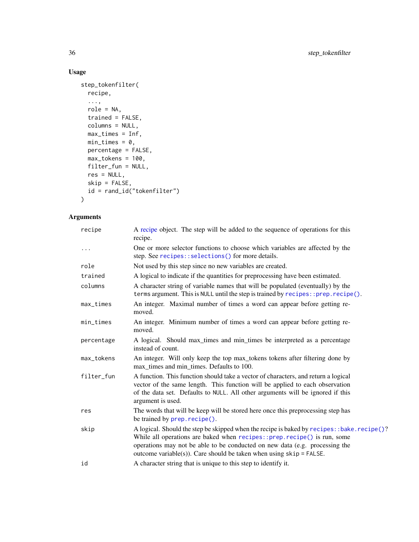# Usage

```
step_tokenfilter(
 recipe,
  ...,
 role = NA,
 trained = FALSE,
 columns = NULL,
 max_times = Inf,
 min\_times = 0,
 percentage = FALSE,
 max_tokens = 100,
 filter_fun = NULL,
 res = NULL,
 skip = FALSE,
 id = rand_id("tokenfilter")
)
```

| recipe      | A recipe object. The step will be added to the sequence of operations for this<br>recipe.                                                                                                                                                                                                                                       |
|-------------|---------------------------------------------------------------------------------------------------------------------------------------------------------------------------------------------------------------------------------------------------------------------------------------------------------------------------------|
| $\cdots$    | One or more selector functions to choose which variables are affected by the<br>step. See recipes::selections() for more details.                                                                                                                                                                                               |
| role        | Not used by this step since no new variables are created.                                                                                                                                                                                                                                                                       |
| trained     | A logical to indicate if the quantities for preprocessing have been estimated.                                                                                                                                                                                                                                                  |
| columns     | A character string of variable names that will be populated (eventually) by the<br>terms argument. This is NULL until the step is trained by recipes:: prep.recipe().                                                                                                                                                           |
| $max_times$ | An integer. Maximal number of times a word can appear before getting re-<br>moved.                                                                                                                                                                                                                                              |
| min_times   | An integer. Minimum number of times a word can appear before getting re-<br>moved.                                                                                                                                                                                                                                              |
| percentage  | A logical. Should max_times and min_times be interpreted as a percentage<br>instead of count.                                                                                                                                                                                                                                   |
| max_tokens  | An integer. Will only keep the top max_tokens tokens after filtering done by<br>max_times and min_times. Defaults to 100.                                                                                                                                                                                                       |
| filter_fun  | A function. This function should take a vector of characters, and return a logical<br>vector of the same length. This function will be applied to each observation<br>of the data set. Defaults to NULL. All other arguments will be ignored if this<br>argument is used.                                                       |
| res         | The words that will be keep will be stored here once this preprocessing step has<br>be trained by prep. recipe().                                                                                                                                                                                                               |
| skip        | A logical. Should the step be skipped when the recipe is baked by recipes: : bake. recipe()?<br>While all operations are baked when recipes::prep.recipe() is run, some<br>operations may not be able to be conducted on new data (e.g. processing the<br>outcome variable(s)). Care should be taken when using $skip =$ FALSE. |
| id          | A character string that is unique to this step to identify it.                                                                                                                                                                                                                                                                  |

<span id="page-35-0"></span>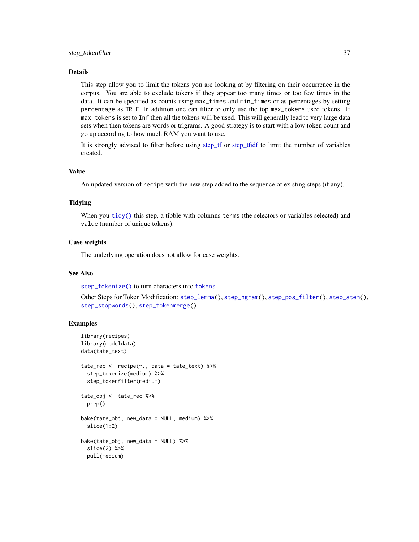<span id="page-36-0"></span>This step allow you to limit the tokens you are looking at by filtering on their occurrence in the corpus. You are able to exclude tokens if they appear too many times or too few times in the data. It can be specified as counts using max\_times and min\_times or as percentages by setting percentage as TRUE. In addition one can filter to only use the top max\_tokens used tokens. If max\_tokens is set to Inf then all the tokens will be used. This will generally lead to very large data sets when then tokens are words or trigrams. A good strategy is to start with a low token count and go up according to how much RAM you want to use.

It is strongly advised to filter before using [step\\_tf](#page-29-1) or [step\\_tfidf](#page-32-1) to limit the number of variables created.

#### Value

An updated version of recipe with the new step added to the sequence of existing steps (if any).

# **Tidying**

When you [tidy\(\)](#page-53-1) this step, a tibble with columns terms (the selectors or variables selected) and value (number of unique tokens).

#### Case weights

The underlying operation does not allow for case weights.

#### See Also

[step\\_tokenize\(\)](#page-37-1) to turn characters into [tokens](#page-55-1)

Other Steps for Token Modification: [step\\_lemma\(](#page-11-1)), [step\\_ngram\(](#page-13-1)), [step\\_pos\\_filter\(](#page-15-1)), [step\\_stem\(](#page-19-1)), [step\\_stopwords\(](#page-21-1)), [step\\_tokenmerge\(](#page-47-1))

```
library(recipes)
library(modeldata)
data(tate_text)
tate_rec <- recipe(~., data = tate_text) %>%
 step_tokenize(medium) %>%
 step_tokenfilter(medium)
tate_obj <- tate_rec %>%
 prep()
bake(tate_obj, new_data = NULL, medium) %>%
 slice(1:2)
bake(tate_obj, new_data = NULL) %>%
 slice(2) %>%
 pull(medium)
```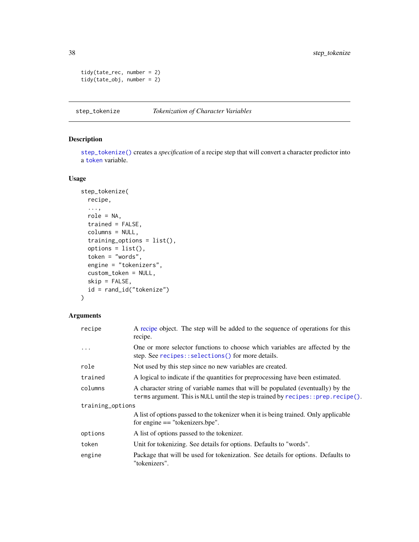```
tidy(tate_rec, number = 2)
tidy(tate_obj, number = 2)
```
# <span id="page-37-1"></span>step\_tokenize *Tokenization of Character Variables*

# Description

[step\\_tokenize\(\)](#page-37-1) creates a *specification* of a recipe step that will convert a character predictor into a [token](#page-55-1) variable.

#### Usage

```
step_tokenize(
  recipe,
  ...,
 role = NA,
  trained = FALSE,
  columns = NULL,
  training_options = list(),
  options = list(),token = "words",
  engine = "tokenizers",
  custom_token = NULL,
  skip = FALSE,
  id = rand_id("tokenize")
\mathcal{L}
```

| recipe           | A recipe object. The step will be added to the sequence of operations for this<br>recipe.                                                                                   |  |
|------------------|-----------------------------------------------------------------------------------------------------------------------------------------------------------------------------|--|
| .                | One or more selector functions to choose which variables are affected by the<br>step. See recipes::selections() for more details.                                           |  |
| role             | Not used by this step since no new variables are created.                                                                                                                   |  |
| trained          | A logical to indicate if the quantities for preprocessing have been estimated.                                                                                              |  |
| columns          | A character string of variable names that will be populated (eventually) by the<br>terms argument. This is NULL until the step is trained by $recipes$ : prep. $recipe()$ . |  |
| training_options |                                                                                                                                                                             |  |
|                  | A list of options passed to the tokenizer when it is being trained. Only applicable<br>for engine $==$ "tokenizers.bpe".                                                    |  |
| options          | A list of options passed to the tokenizer.                                                                                                                                  |  |
| token            | Unit for tokenizing. See details for options. Defaults to "words".                                                                                                          |  |
| engine           | Package that will be used for tokenization. See details for options. Defaults to<br>"tokenizers".                                                                           |  |

<span id="page-37-0"></span>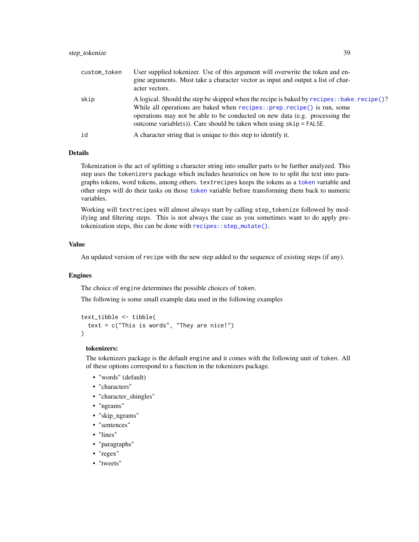<span id="page-38-0"></span>

| custom_token | User supplied tokenizer. Use of this argument will overwrite the token and en-<br>gine arguments. Must take a character vector as input and output a list of char-<br>acter vectors.                                                                                                                                                  |
|--------------|---------------------------------------------------------------------------------------------------------------------------------------------------------------------------------------------------------------------------------------------------------------------------------------------------------------------------------------|
| skip         | A logical. Should the step be skipped when the recipe is baked by $recipes$ : bake. $recipe()$ ?<br>While all operations are baked when $recipes::prep.recipe()$ is run, some<br>operations may not be able to be conducted on new data (e.g. processing the<br>outcome variable(s)). Care should be taken when using $skip =$ FALSE. |
| id           | A character string that is unique to this step to identify it.                                                                                                                                                                                                                                                                        |

Tokenization is the act of splitting a character string into smaller parts to be further analyzed. This step uses the tokenizers package which includes heuristics on how to to split the text into paragraphs tokens, word tokens, among others. textrecipes keeps the tokens as a [token](#page-55-1) variable and other steps will do their tasks on those [token](#page-55-1) variable before transforming them back to numeric variables.

Working will textrecipes will almost always start by calling step\_tokenize followed by modifying and filtering steps. This is not always the case as you sometimes want to do apply pretokenization steps, this can be done with [recipes::step\\_mutate\(\)](#page-0-0).

### Value

An updated version of recipe with the new step added to the sequence of existing steps (if any).

#### Engines

The choice of engine determines the possible choices of token.

The following is some small example data used in the following examples

```
text_tibble <- tibble(
  text = c("This is words", "They are nice!")
)
```
#### tokenizers:

The tokenizers package is the default engine and it comes with the following unit of token. All of these options correspond to a function in the tokenizers package.

- "words" (default)
- "characters"
- "character\_shingles"
- "ngrams"
- "skip\_ngrams"
- "sentences"
- "lines"
- "paragraphs"
- "regex"
- "tweets"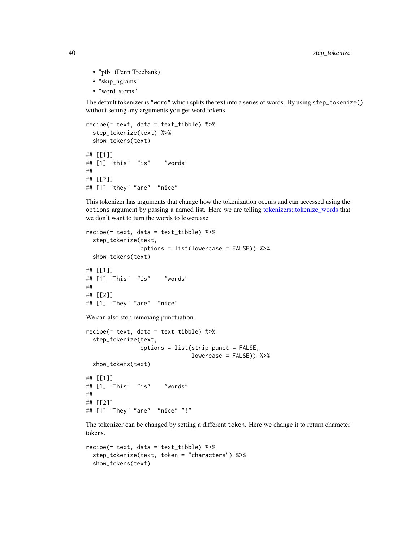- "ptb" (Penn Treebank)
- "skip\_ngrams"
- "word\_stems"

The default tokenizer is "word" which splits the text into a series of words. By using step\_tokenize() without setting any arguments you get word tokens

```
recipe(~ text, data = text_tibble) %>%
 step_tokenize(text) %>%
 show_tokens(text)
## [[1]]
## [1] "this" "is" "words"
##
## [[2]]
## [1] "they" "are" "nice"
```
This tokenizer has arguments that change how the tokenization occurs and can accessed using the options argument by passing a named list. Here we are telling [tokenizers::tokenize\\_words](#page-0-0) that we don't want to turn the words to lowercase

```
recipe(~ text, data = text_tibble) %>%
  step_tokenize(text,
                options = list(lowercase = FALSE)) %>%
 show_tokens(text)
## [[1]]
## [1] "This" "is" "words"
##
## [[2]]
## [1] "They" "are" "nice"
We can also stop removing punctuation.
recipe(~ text, data = text_tibble) %>%
  step_tokenize(text,
                options = list(strip_punct = FALSE,
                               lowercase = FALSE)) %>%
 show_tokens(text)
## [[1]]
## [1] "This" "is" "words"
##
## [[2]]
## [1] "They" "are" "nice" "!"
```
The tokenizer can be changed by setting a different token. Here we change it to return character tokens.

```
recipe(~ text, data = text_tibble) %>%
  step_tokenize(text, token = "characters") %>%
 show_tokens(text)
```
<span id="page-39-0"></span>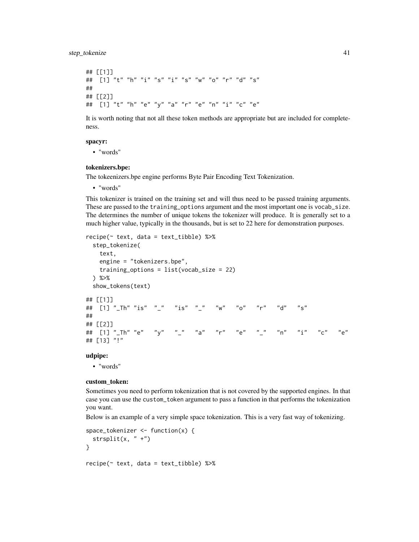```
## [[1]]
## [1] "t" "h" "i" "s" "i" "s" "w" "o" "r" "d" "s"
##
## [[2]]
## [1] "t" "h" "e" "y" "a" "r" "e" "n" "i" "c" "e"
```
It is worth noting that not all these token methods are appropriate but are included for completeness.

#### spacyr:

• "words"

#### tokenizers.bpe:

The tokeenizers.bpe engine performs Byte Pair Encoding Text Tokenization.

• "words"

This tokenizer is trained on the training set and will thus need to be passed training arguments. These are passed to the training\_options argument and the most important one is vocab\_size. The determines the number of unique tokens the tokenizer will produce. It is generally set to a much higher value, typically in the thousands, but is set to 22 here for demonstration purposes.

```
recipe(~ text, data = text_tibble) %>%
 step_tokenize(
   text,
   engine = "tokenizers.bpe",
   training_options = list(vocab_size = 22)
 ) %>%
 show_tokens(text)
## [[1]]
## [1] "_Th" "is" "_" "is" "_" "w" "o" "r" "d" "s"
##
## [[2]]
## [1] "_Th" "e" "y" "_" "a" "r" "e" "_" "n" "i" "c" "e"
## [13] "!"
```
#### udpipe:

• "words"

#### custom\_token:

Sometimes you need to perform tokenization that is not covered by the supported engines. In that case you can use the custom\_token argument to pass a function in that performs the tokenization you want.

Below is an example of a very simple space tokenization. This is a very fast way of tokenizing.

```
space_tokenizer <- function(x) {
 strsplit(x, " +")}
recipe(~ text, data = text_tibble) %>%
```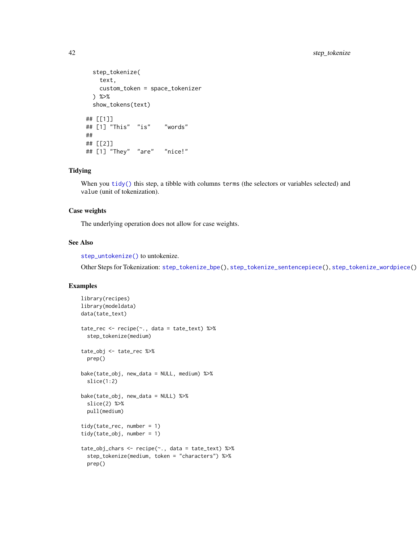```
step_tokenize(
   text,
   custom_token = space_tokenizer
 ) %>%
 show_tokens(text)
## [[1]]
## [1] "This" "is" "words"
##
## [[2]]
## [1] "They" "are" "nice!"
```
#### Tidying

When you [tidy\(\)](#page-53-1) this step, a tibble with columns terms (the selectors or variables selected) and value (unit of tokenization).

# Case weights

The underlying operation does not allow for case weights.

#### See Also

[step\\_untokenize\(\)](#page-49-1) to untokenize.

Other Steps for Tokenization: [step\\_tokenize\\_bpe\(](#page-42-1)), [step\\_tokenize\\_sentencepiece\(](#page-44-1)), [step\\_tokenize\\_wordpiece\(](#page-46-1))

```
library(recipes)
library(modeldata)
data(tate_text)
tate_rec <- recipe(~., data = tate_text) %>%
  step_tokenize(medium)
tate_obj <- tate_rec %>%
  prep()
bake(tate_obj, new_data = NULL, medium) %>%
  slice(1:2)
bake(tate_obj, new_data = NULL) %>%
  slice(2) %>%
  pull(medium)
tidy(tate_rec, number = 1)
tidy(tate_obj, number = 1)
tate_obj_chars <- recipe(~., data = tate_text) %>%
  step_tokenize(medium, token = "characters") %>%
  prep()
```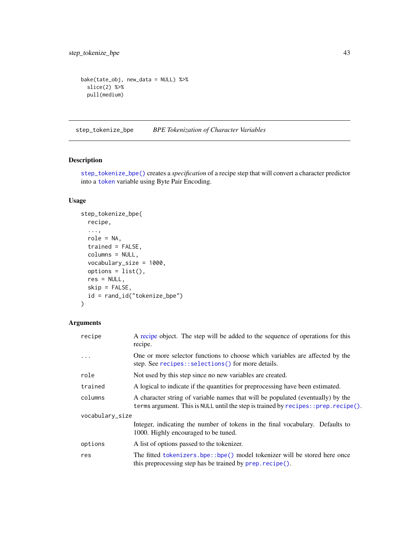```
bake(tate_obj, new_data = NULL) %>%
  slice(2) %>%
  pull(medium)
```
<span id="page-42-1"></span>step\_tokenize\_bpe *BPE Tokenization of Character Variables*

# Description

[step\\_tokenize\\_bpe\(\)](#page-42-1) creates a *specification* of a recipe step that will convert a character predictor into a [token](#page-55-1) variable using Byte Pair Encoding.

# Usage

```
step_tokenize_bpe(
  recipe,
  ...,
 role = NA,
  trained = FALSE,
 columns = NULL,
  vocabulary_size = 1000,
 options = list(),
 res = NULL,
 skip = FALSE,
  id = rand_id("tokenize_bpe")
)
```

| recipe          | A recipe object. The step will be added to the sequence of operations for this<br>recipe.                                                                                   |  |
|-----------------|-----------------------------------------------------------------------------------------------------------------------------------------------------------------------------|--|
| $\cdots$        | One or more selector functions to choose which variables are affected by the<br>step. See recipes::selections() for more details.                                           |  |
| role            | Not used by this step since no new variables are created.                                                                                                                   |  |
| trained         | A logical to indicate if the quantities for preprocessing have been estimated.                                                                                              |  |
| columns         | A character string of variable names that will be populated (eventually) by the<br>terms argument. This is NULL until the step is trained by $recipes$ : prep. $recipe()$ . |  |
| vocabulary_size |                                                                                                                                                                             |  |
|                 | Integer, indicating the number of tokens in the final vocabulary. Defaults to<br>1000. Highly encouraged to be tuned.                                                       |  |
| options         | A list of options passed to the tokenizer.                                                                                                                                  |  |
| res             | The fitted tokenizers.bpe::bpe() model tokenizer will be stored here once<br>this preprocessing step has be trained by prep. recipe().                                      |  |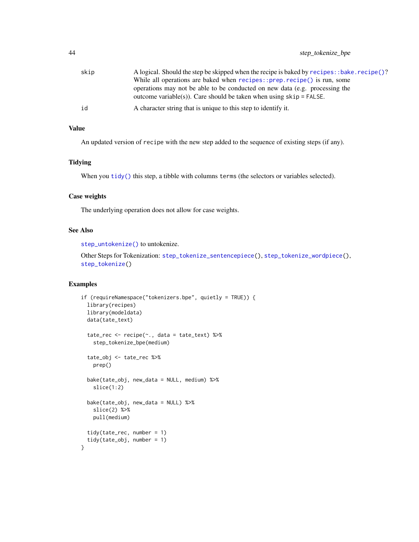# <span id="page-43-0"></span>44 step\_tokenize\_bpe

| skip | A logical. Should the step be skipped when the recipe is baked by recipes::bake.recipe()?                                                            |
|------|------------------------------------------------------------------------------------------------------------------------------------------------------|
|      | While all operations are baked when $recipes::prep.recipe()$ is run, some                                                                            |
|      | operations may not be able to be conducted on new data (e.g. processing the<br>outcome variable(s)). Care should be taken when using $skip =$ FALSE. |
|      |                                                                                                                                                      |
| id   | A character string that is unique to this step to identify it.                                                                                       |

# Value

An updated version of recipe with the new step added to the sequence of existing steps (if any).

#### **Tidying**

When you [tidy\(\)](#page-53-1) this step, a tibble with columns terms (the selectors or variables selected).

# Case weights

The underlying operation does not allow for case weights.

# See Also

[step\\_untokenize\(\)](#page-49-1) to untokenize.

Other Steps for Tokenization: [step\\_tokenize\\_sentencepiece\(](#page-44-1)), [step\\_tokenize\\_wordpiece\(](#page-46-1)), [step\\_tokenize\(](#page-37-1))

```
if (requireNamespace("tokenizers.bpe", quietly = TRUE)) {
 library(recipes)
 library(modeldata)
 data(tate_text)
 tate_rec <- recipe(~., data = tate_text) %>%
   step_tokenize_bpe(medium)
 tate_obj <- tate_rec %>%
   prep()
 bake(tate_obj, new_data = NULL, medium) %>%
   slice(1:2)
 bake(tate_obj, new_data = NULL) %>%
   slice(2) %>%
   pull(medium)
 tidy(tate_rec, number = 1)
 tidy(tate_obj, number = 1)
}
```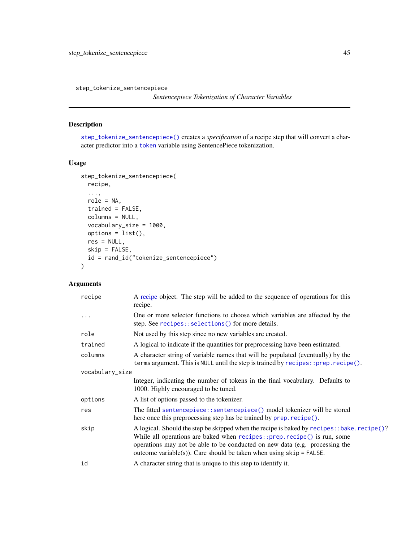<span id="page-44-1"></span><span id="page-44-0"></span>step\_tokenize\_sentencepiece

*Sentencepiece Tokenization of Character Variables*

# Description

[step\\_tokenize\\_sentencepiece\(\)](#page-44-1) creates a *specification* of a recipe step that will convert a character predictor into a [token](#page-55-1) variable using SentencePiece tokenization.

# Usage

```
step_tokenize_sentencepiece(
  recipe,
  ...,
 role = NA,
 trained = FALSE,
 columns = NULL,
 vocabulary_size = 1000,
 options = list(),
 res = NULL,
 skip = FALSE,
 id = rand_id("tokenize_sentencepiece")
)
```

| recipe          | A recipe object. The step will be added to the sequence of operations for this<br>recipe.                                                                                                                                                                                                                                         |  |
|-----------------|-----------------------------------------------------------------------------------------------------------------------------------------------------------------------------------------------------------------------------------------------------------------------------------------------------------------------------------|--|
| $\cdots$        | One or more selector functions to choose which variables are affected by the<br>step. See recipes::selections() for more details.                                                                                                                                                                                                 |  |
| role            | Not used by this step since no new variables are created.                                                                                                                                                                                                                                                                         |  |
| trained         | A logical to indicate if the quantities for preprocessing have been estimated.                                                                                                                                                                                                                                                    |  |
| columns         | A character string of variable names that will be populated (eventually) by the<br>terms argument. This is NULL until the step is trained by recipes:: prep.recipe().                                                                                                                                                             |  |
| vocabulary_size |                                                                                                                                                                                                                                                                                                                                   |  |
|                 | Integer, indicating the number of tokens in the final vocabulary. Defaults to<br>1000. Highly encouraged to be tuned.                                                                                                                                                                                                             |  |
| options         | A list of options passed to the tokenizer.                                                                                                                                                                                                                                                                                        |  |
| res             | The fitted sentencepiece::sentencepiece() model tokenizer will be stored<br>here once this preprocessing step has be trained by prep. recipe().                                                                                                                                                                                   |  |
| skip            | A logical. Should the step be skipped when the recipe is baked by recipes: : bake. recipe()?<br>While all operations are baked when recipes:: prep. recipe() is run, some<br>operations may not be able to be conducted on new data (e.g. processing the<br>outcome variable(s)). Care should be taken when using $skip =$ FALSE. |  |
| id              | A character string that is unique to this step to identify it.                                                                                                                                                                                                                                                                    |  |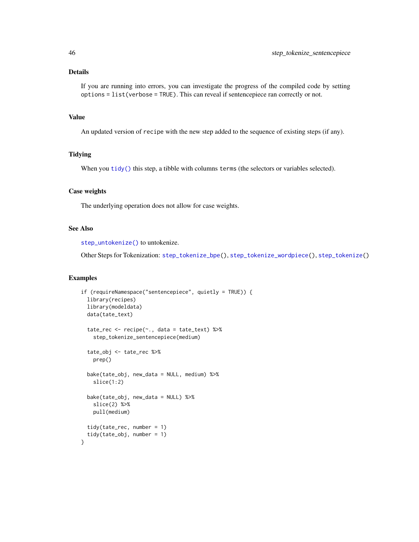<span id="page-45-0"></span>If you are running into errors, you can investigate the progress of the compiled code by setting options = list(verbose = TRUE). This can reveal if sentencepiece ran correctly or not.

#### Value

An updated version of recipe with the new step added to the sequence of existing steps (if any).

# **Tidying**

When you [tidy\(\)](#page-53-1) this step, a tibble with columns terms (the selectors or variables selected).

#### Case weights

The underlying operation does not allow for case weights.

# See Also

[step\\_untokenize\(\)](#page-49-1) to untokenize.

Other Steps for Tokenization: [step\\_tokenize\\_bpe\(](#page-42-1)), [step\\_tokenize\\_wordpiece\(](#page-46-1)), [step\\_tokenize\(](#page-37-1))

```
if (requireNamespace("sentencepiece", quietly = TRUE)) {
 library(recipes)
 library(modeldata)
 data(tate_text)
 tate_rec <- recipe(~., data = tate_text) %>%
   step_tokenize_sentencepiece(medium)
 tate_obj <- tate_rec %>%
   prep()
 bake(tate_obj, new_data = NULL, medium) %>%
   slice(1:2)
 bake(tate_obj, new_data = NULL) %>%
   slice(2) %>%
   pull(medium)
 tidy(tate_rec, number = 1)
 tidy(tate_obj, number = 1)
}
```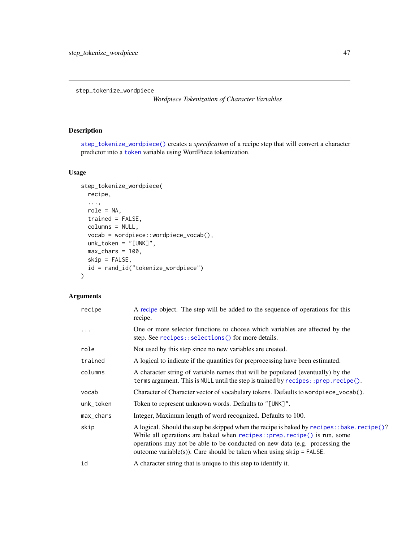<span id="page-46-1"></span><span id="page-46-0"></span>step\_tokenize\_wordpiece

*Wordpiece Tokenization of Character Variables*

# Description

[step\\_tokenize\\_wordpiece\(\)](#page-46-1) creates a *specification* of a recipe step that will convert a character predictor into a [token](#page-55-1) variable using WordPiece tokenization.

# Usage

```
step_tokenize_wordpiece(
 recipe,
  ...,
 role = NA,
  trained = FALSE,
  columns = NULL,
  vocab = wordpiece::wordpiece_vocab(),
 unk_token = "[UNK]",
 max_{\text{chars}} = 100,
 skip = FALSE,
  id = rand_id("tokenize_wordpiece")
\lambda
```

| recipe    | A recipe object. The step will be added to the sequence of operations for this<br>recipe.                                                                                                                                                                                                                                       |  |
|-----------|---------------------------------------------------------------------------------------------------------------------------------------------------------------------------------------------------------------------------------------------------------------------------------------------------------------------------------|--|
| .         | One or more selector functions to choose which variables are affected by the<br>step. See recipes::selections() for more details.                                                                                                                                                                                               |  |
| role      | Not used by this step since no new variables are created.                                                                                                                                                                                                                                                                       |  |
| trained   | A logical to indicate if the quantities for preprocessing have been estimated.                                                                                                                                                                                                                                                  |  |
| columns   | A character string of variable names that will be populated (eventually) by the<br>terms argument. This is NULL until the step is trained by recipes:: prep.recipe().                                                                                                                                                           |  |
| vocab     | Character of Character vector of vocabulary tokens. Defaults to wordpiece_vocab().                                                                                                                                                                                                                                              |  |
| unk_token | Token to represent unknown words. Defaults to "[UNK]".                                                                                                                                                                                                                                                                          |  |
| max_chars | Integer, Maximum length of word recognized. Defaults to 100.                                                                                                                                                                                                                                                                    |  |
| skip      | A logical. Should the step be skipped when the recipe is baked by recipes: : bake. recipe()?<br>While all operations are baked when recipes::prep.recipe() is run, some<br>operations may not be able to be conducted on new data (e.g. processing the<br>outcome variable(s)). Care should be taken when using $skip =$ FALSE. |  |
| id        | A character string that is unique to this step to identify it.                                                                                                                                                                                                                                                                  |  |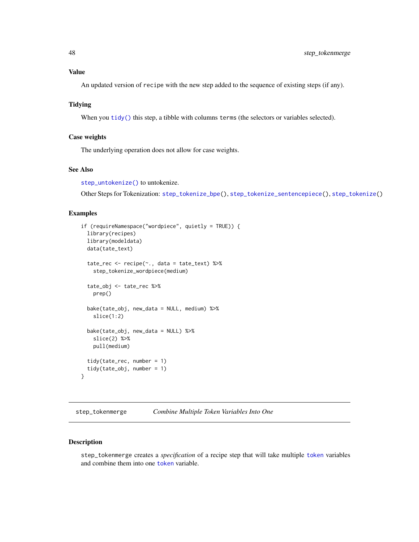# <span id="page-47-0"></span>Value

An updated version of recipe with the new step added to the sequence of existing steps (if any).

# Tidying

When you  $\text{tidy}()$  this step, a tibble with columns terms (the selectors or variables selected).

#### Case weights

The underlying operation does not allow for case weights.

# See Also

[step\\_untokenize\(\)](#page-49-1) to untokenize.

Other Steps for Tokenization: [step\\_tokenize\\_bpe\(](#page-42-1)), [step\\_tokenize\\_sentencepiece\(](#page-44-1)), [step\\_tokenize\(](#page-37-1))

#### Examples

```
if (requireNamespace("wordpiece", quietly = TRUE)) {
 library(recipes)
 library(modeldata)
 data(tate_text)
 tate_rec <- recipe(~., data = tate_text) %>%
   step_tokenize_wordpiece(medium)
 tate_obj <- tate_rec %>%
   prep()
 bake(tate_obj, new_data = NULL, medium) %>%
   slice(1:2)
 bake(tate_obj, new_data = NULL) %>%
   slice(2) %>%
   pull(medium)
 tidy(tate_rec, number = 1)
 tidy(tate_obj, number = 1)
}
```
<span id="page-47-1"></span>step\_tokenmerge *Combine Multiple Token Variables Into One*

#### Description

step\_tokenmerge creates a *specification* of a recipe step that will take multiple [token](#page-55-1) variables and combine them into one [token](#page-55-1) variable.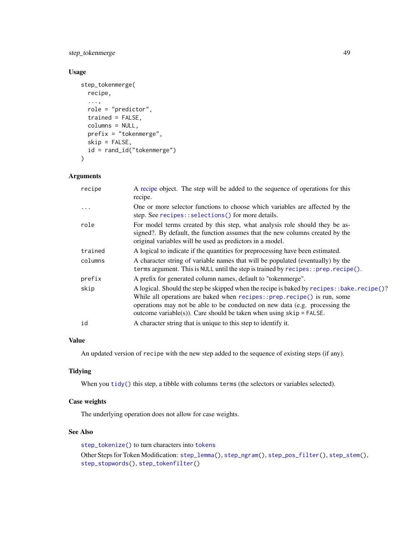<span id="page-48-0"></span>step\_tokenmerge 49

# Usage

```
step_tokenmerge(
 recipe,
  ...,
 role = "predictor",
  trained = FALSE,
  columns = NULL,
 prefix = "tokenmerge",
 skip = FALSE,
 id = rand_id("tokenmerge")
\mathcal{L}
```
### Arguments

| recipe  | A recipe object. The step will be added to the sequence of operations for this<br>recipe.                                                                                                                                                                                                                                         |  |
|---------|-----------------------------------------------------------------------------------------------------------------------------------------------------------------------------------------------------------------------------------------------------------------------------------------------------------------------------------|--|
| .       | One or more selector functions to choose which variables are affected by the<br>step. See recipes::selections() for more details.                                                                                                                                                                                                 |  |
| role    | For model terms created by this step, what analysis role should they be as-<br>signed?. By default, the function assumes that the new columns created by the<br>original variables will be used as predictors in a model.                                                                                                         |  |
| trained | A logical to indicate if the quantities for preprocessing have been estimated.                                                                                                                                                                                                                                                    |  |
| columns | A character string of variable names that will be populated (eventually) by the<br>terms argument. This is NULL until the step is trained by recipes:: prep.recipe().                                                                                                                                                             |  |
| prefix  | A prefix for generated column names, default to "tokenmerge".                                                                                                                                                                                                                                                                     |  |
| skip    | A logical. Should the step be skipped when the recipe is baked by recipes: : bake. recipe()?<br>While all operations are baked when $recipes::prep.recipe()$ is run, some<br>operations may not be able to be conducted on new data (e.g. processing the<br>outcome variable(s)). Care should be taken when using $skip =$ FALSE. |  |
| id      | A character string that is unique to this step to identify it.                                                                                                                                                                                                                                                                    |  |

# Value

An updated version of recipe with the new step added to the sequence of existing steps (if any).

# Tidying

When you [tidy\(\)](#page-53-1) this step, a tibble with columns terms (the selectors or variables selected).

# Case weights

The underlying operation does not allow for case weights.

#### See Also

[step\\_tokenize\(\)](#page-37-1) to turn characters into [tokens](#page-55-1) Other Steps for Token Modification: [step\\_lemma\(](#page-11-1)), [step\\_ngram\(](#page-13-1)), [step\\_pos\\_filter\(](#page-15-1)), [step\\_stem\(](#page-19-1)), [step\\_stopwords\(](#page-21-1)), [step\\_tokenfilter\(](#page-34-1))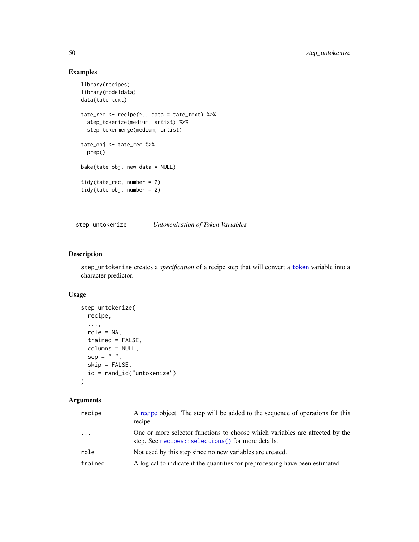# Examples

```
library(recipes)
library(modeldata)
data(tate_text)
tate_rec <- recipe(~., data = tate_text) %>%
  step_tokenize(medium, artist) %>%
  step_tokenmerge(medium, artist)
tate_obj <- tate_rec %>%
  prep()
bake(tate_obj, new_data = NULL)
tidy(tate_rec, number = 2)
tidy(tate_obj, number = 2)
```
<span id="page-49-1"></span>step\_untokenize *Untokenization of Token Variables*

#### Description

step\_untokenize creates a *specification* of a recipe step that will convert a [token](#page-55-1) variable into a character predictor.

# Usage

```
step_untokenize(
  recipe,
  ...,
  role = NA,
  trained = FALSE,
  columns = NULL,
  sep = " " ,skip = FALSE,
  id = rand_id("untokenize")
\mathcal{L}
```

| recipe  | A recipe object. The step will be added to the sequence of operations for this<br>recipe.                                         |  |
|---------|-----------------------------------------------------------------------------------------------------------------------------------|--|
| $\cdot$ | One or more selector functions to choose which variables are affected by the<br>step. See recipes::selections() for more details. |  |
| role    | Not used by this step since no new variables are created.                                                                         |  |
| trained | A logical to indicate if the quantities for preprocessing have been estimated.                                                    |  |

<span id="page-49-0"></span>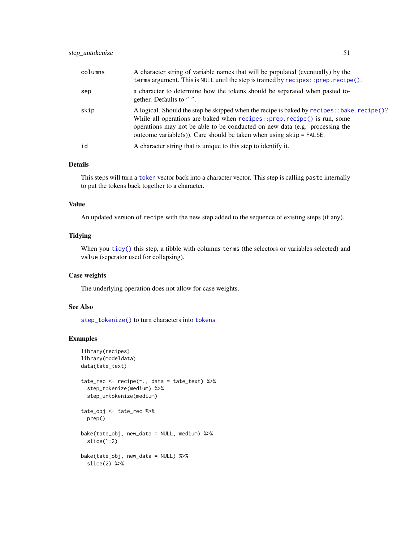<span id="page-50-0"></span>

| columns | A character string of variable names that will be populated (eventually) by the<br>terms argument. This is NULL until the step is trained by $recipes$ : prep. $recipe()$ .                                                                                                                                                     |  |
|---------|---------------------------------------------------------------------------------------------------------------------------------------------------------------------------------------------------------------------------------------------------------------------------------------------------------------------------------|--|
| sep     | a character to determine how the tokens should be separated when pasted to-<br>gether. Defaults to "".                                                                                                                                                                                                                          |  |
| skip    | A logical. Should the step be skipped when the recipe is baked by recipes: : bake. recipe()?<br>While all operations are baked when recipes::prep.recipe() is run, some<br>operations may not be able to be conducted on new data (e.g. processing the<br>outcome variable(s)). Care should be taken when using $skip =$ FALSE. |  |
| id      | A character string that is unique to this step to identify it.                                                                                                                                                                                                                                                                  |  |

This steps will turn a [token](#page-55-1) vector back into a character vector. This step is calling paste internally to put the tokens back together to a character.

#### Value

An updated version of recipe with the new step added to the sequence of existing steps (if any).

#### Tidying

When you [tidy\(\)](#page-53-1) this step, a tibble with columns terms (the selectors or variables selected) and value (seperator used for collapsing).

# Case weights

The underlying operation does not allow for case weights.

### See Also

[step\\_tokenize\(\)](#page-37-1) to turn characters into [tokens](#page-55-1)

```
library(recipes)
library(modeldata)
data(tate_text)
tate_rec <- recipe(~., data = tate_text) %>%
  step_tokenize(medium) %>%
  step_untokenize(medium)
tate_obj <- tate_rec %>%
  prep()
bake(tate_obj, new_data = NULL, medium) %>%
  slice(1:2)
bake(tate_obj, new_data = NULL) %>%
  slice(2) %>%
```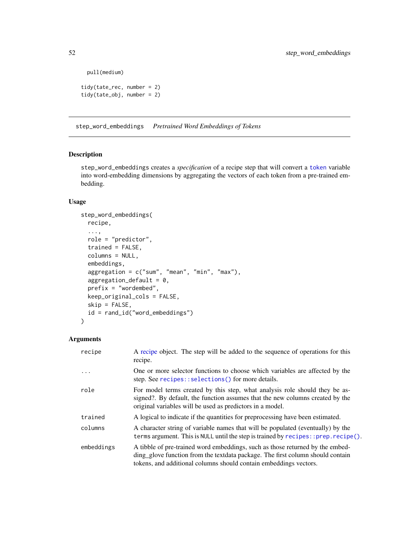```
pull(medium)
```

```
tidy(tate_rec, number = 2)
tidy(tate_obj, number = 2)
```
<span id="page-51-1"></span>step\_word\_embeddings *Pretrained Word Embeddings of Tokens*

# Description

step\_word\_embeddings creates a *specification* of a recipe step that will convert a [token](#page-55-1) variable into word-embedding dimensions by aggregating the vectors of each token from a pre-trained embedding.

#### Usage

```
step_word_embeddings(
  recipe,
  ...,
  role = "predictor",
  trained = FALSE,
  columns = NULL,
  embeddings,
  aggregation = c("sum", "mean", "min", "max"),
  aggregation\_default = 0,prefix = "wordembed",
  keep_original_cols = FALSE,
  skip = FALSE,
  id = rand_id("word_embeddings")
)
```

| recipe     | A recipe object. The step will be added to the sequence of operations for this<br>recipe.                                                                                                                                            |  |
|------------|--------------------------------------------------------------------------------------------------------------------------------------------------------------------------------------------------------------------------------------|--|
| $\ddots$   | One or more selector functions to choose which variables are affected by the<br>step. See recipes::selections() for more details.                                                                                                    |  |
| role       | For model terms created by this step, what analysis role should they be as-<br>signed?. By default, the function assumes that the new columns created by the<br>original variables will be used as predictors in a model.            |  |
| trained    | A logical to indicate if the quantities for preprocessing have been estimated.                                                                                                                                                       |  |
| columns    | A character string of variable names that will be populated (eventually) by the<br>terms argument. This is NULL until the step is trained by recipes:: prep.recipe().                                                                |  |
| embeddings | A tibble of pre-trained word embeddings, such as those returned by the embed-<br>ding glove function from the textdata package. The first column should contain<br>tokens, and additional columns should contain embeddings vectors. |  |

<span id="page-51-0"></span>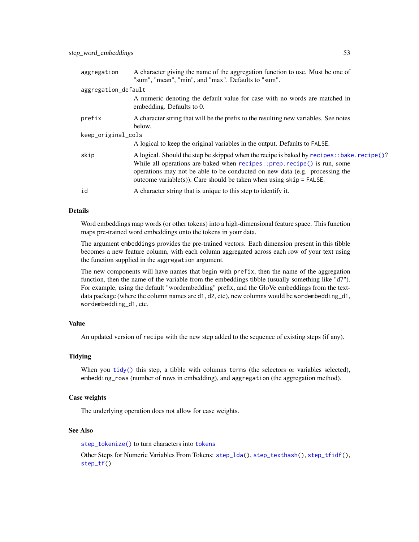<span id="page-52-0"></span>

| aggregation         | A character giving the name of the aggregation function to use. Must be one of<br>"sum", "mean", "min", and "max". Defaults to "sum".                                                                                                                                                                                         |  |
|---------------------|-------------------------------------------------------------------------------------------------------------------------------------------------------------------------------------------------------------------------------------------------------------------------------------------------------------------------------|--|
| aggregation_default |                                                                                                                                                                                                                                                                                                                               |  |
|                     | A numeric denoting the default value for case with no words are matched in<br>embedding. Defaults to 0.                                                                                                                                                                                                                       |  |
| prefix              | A character string that will be the prefix to the resulting new variables. See notes<br>below.                                                                                                                                                                                                                                |  |
| keep_original_cols  |                                                                                                                                                                                                                                                                                                                               |  |
|                     | A logical to keep the original variables in the output. Defaults to FALSE.                                                                                                                                                                                                                                                    |  |
| skip                | A logical. Should the step be skipped when the recipe is baked by recipes: :bake.recipe()?<br>While all operations are baked when recipes::prep.recipe() is run, some<br>operations may not be able to be conducted on new data (e.g. processing the<br>outcome variable(s)). Care should be taken when using $skip =$ FALSE. |  |
| id                  | A character string that is unique to this step to identify it.                                                                                                                                                                                                                                                                |  |

Word embeddings map words (or other tokens) into a high-dimensional feature space. This function maps pre-trained word embeddings onto the tokens in your data.

The argument embeddings provides the pre-trained vectors. Each dimension present in this tibble becomes a new feature column, with each column aggregated across each row of your text using the function supplied in the aggregation argument.

The new components will have names that begin with prefix, then the name of the aggregation function, then the name of the variable from the embeddings tibble (usually something like "d7"). For example, using the default "wordembedding" prefix, and the GloVe embeddings from the textdata package (where the column names are d1, d2, etc), new columns would be wordembedding\_d1, wordembedding\_d1, etc.

# Value

An updated version of recipe with the new step added to the sequence of existing steps (if any).

#### Tidying

When you [tidy\(\)](#page-53-1) this step, a tibble with columns terms (the selectors or variables selected), embedding\_rows (number of rows in embedding), and aggregation (the aggregation method).

#### Case weights

The underlying operation does not allow for case weights.

# See Also

[step\\_tokenize\(\)](#page-37-1) to turn characters into [tokens](#page-55-1)

Other Steps for Numeric Variables From Tokens: [step\\_lda\(](#page-9-1)), [step\\_texthash\(](#page-25-1)), [step\\_tfidf\(](#page-32-1)), [step\\_tf\(](#page-29-1))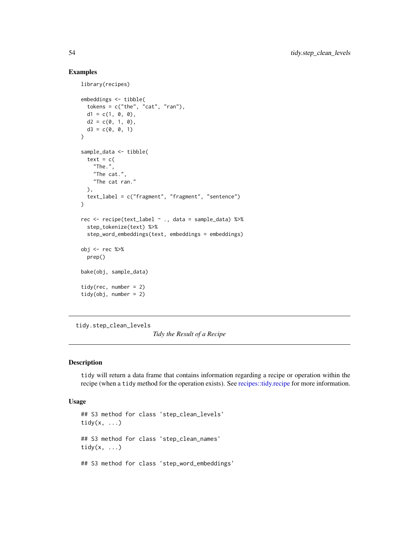#### Examples

library(recipes)

```
embeddings <- tibble(
  tokens = c("the", "cat", "ran"),d1 = c(1, 0, 0),d2 = c(0, 1, 0),
  d3 = c(0, 0, 1)\mathcal{L}sample_data <- tibble(
  text = c("The.",
    "The cat.",
    "The cat ran."
 ),
  text_label = c("fragment", "fragment", "sentence")
\mathcal{L}rec <- recipe(text_label ~ ., data = sample_data) %>%
  step_tokenize(text) %>%
  step_word_embeddings(text, embeddings = embeddings)
obj <- rec %>%
  prep()
bake(obj, sample_data)
tidy(rec, number = 2)
tidy(obj, number = 2)
```
tidy.step\_clean\_levels

*Tidy the Result of a Recipe*

# <span id="page-53-1"></span>Description

tidy will return a data frame that contains information regarding a recipe or operation within the recipe (when a tidy method for the operation exists). See [recipes::tidy.recipe](#page-0-0) for more information.

#### Usage

```
## S3 method for class 'step_clean_levels'
tidy(x, \ldots)## S3 method for class 'step_clean_names'
tidy(x, ...)
## S3 method for class 'step_word_embeddings'
```
<span id="page-53-0"></span>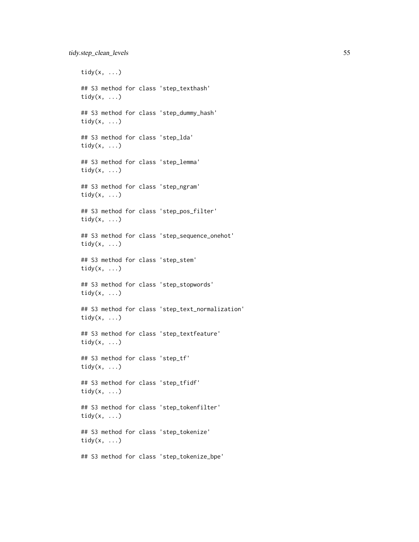tidy $(x, \ldots)$ ## S3 method for class 'step\_texthash' tidy $(x, \ldots)$ ## S3 method for class 'step\_dummy\_hash' tidy $(x, \ldots)$ ## S3 method for class 'step\_lda' tidy $(x, \ldots)$ ## S3 method for class 'step\_lemma' tidy $(x, \ldots)$ ## S3 method for class 'step\_ngram' tidy $(x, \ldots)$ ## S3 method for class 'step\_pos\_filter' tidy $(x, \ldots)$ ## S3 method for class 'step\_sequence\_onehot' tidy(x, ...) ## S3 method for class 'step\_stem' tidy $(x, \ldots)$ ## S3 method for class 'step\_stopwords' tidy(x, ...) ## S3 method for class 'step\_text\_normalization' tidy $(x, \ldots)$ ## S3 method for class 'step\_textfeature' tidy $(x, \ldots)$ ## S3 method for class 'step\_tf' tidy $(x, \ldots)$ ## S3 method for class 'step\_tfidf' tidy(x, ...) ## S3 method for class 'step\_tokenfilter' tidy $(x, \ldots)$ ## S3 method for class 'step\_tokenize' tidy $(x, \ldots)$ 

## S3 method for class 'step\_tokenize\_bpe'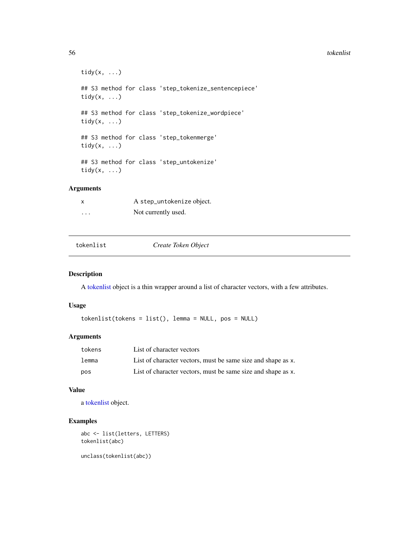#### <span id="page-55-0"></span>56 tokenlist

```
tidy(x, \ldots)## S3 method for class 'step_tokenize_sentencepiece'
tidy(x, \ldots)## S3 method for class 'step_tokenize_wordpiece'
tidy(x, \ldots)## S3 method for class 'step_tokenmerge'
tidy(x, ...)
## S3 method for class 'step_untokenize'
tidy(x, ...)
```
# Arguments

|          | A step_untokenize object. |
|----------|---------------------------|
| $\cdots$ | Not currently used.       |

#### <span id="page-55-1"></span>tokenlist *Create Token Object*

# Description

A [tokenlist](#page-55-1) object is a thin wrapper around a list of character vectors, with a few attributes.

# Usage

tokenlist(tokens = list(), lemma = NULL, pos = NULL)

#### Arguments

| tokens | List of character vectors                                    |
|--------|--------------------------------------------------------------|
| lemma  | List of character vectors, must be same size and shape as x. |
| pos    | List of character vectors, must be same size and shape as x. |

#### Value

a [tokenlist](#page-55-1) object.

# Examples

abc <- list(letters, LETTERS) tokenlist(abc)

unclass(tokenlist(abc))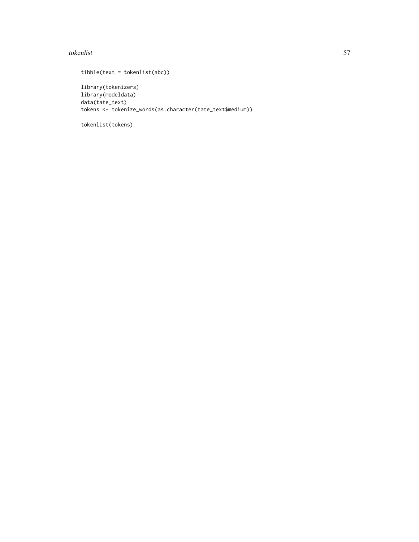#### tokenlist 57

```
tibble(text = tokenlist(abc))
library(tokenizers)
library(modeldata)
data(tate_text)
tokens <- tokenize_words(as.character(tate_text$medium))
```
tokenlist(tokens)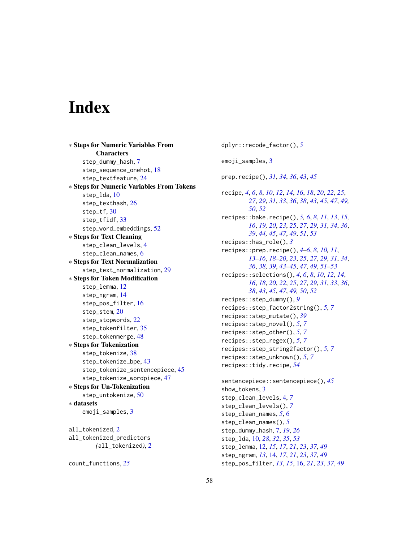# <span id="page-57-0"></span>**Index**

∗ Steps for Numeric Variables From **Characters** step\_dummy\_hash, [7](#page-6-0) step\_sequence\_onehot, [18](#page-17-0) step\_textfeature, [24](#page-23-0) ∗ Steps for Numeric Variables From Tokens step\_lda, [10](#page-9-0) step\_texthash, [26](#page-25-0) step\_tf, [30](#page-29-0) step\_tfidf, [33](#page-32-0) step\_word\_embeddings, [52](#page-51-0) ∗ Steps for Text Cleaning step\_clean\_levels, [4](#page-3-0) step\_clean\_names, [6](#page-5-0) ∗ Steps for Text Normalization step\_text\_normalization, [29](#page-28-0) ∗ Steps for Token Modification step\_lemma, [12](#page-11-0) step\_ngram, [14](#page-13-0) step\_pos\_filter, [16](#page-15-0) step\_stem, [20](#page-19-0) step\_stopwords, [22](#page-21-0) step\_tokenfilter, [35](#page-34-0) step\_tokenmerge, [48](#page-47-0) ∗ Steps for Tokenization step\_tokenize, [38](#page-37-0) step\_tokenize\_bpe, [43](#page-42-0) step\_tokenize\_sentencepiece, [45](#page-44-0) step\_tokenize\_wordpiece, [47](#page-46-0) ∗ Steps for Un-Tokenization step\_untokenize, [50](#page-49-0) ∗ datasets emoji\_samples, [3](#page-2-0) all\_tokenized, [2](#page-1-0) all\_tokenized\_predictors *(*all\_tokenized*)*, [2](#page-1-0)

```
count_functions, 25
```
dplyr::recode\_factor(), *[5](#page-4-0)* emoji\_samples, [3](#page-2-0) prep.recipe(), *[31](#page-30-0)*, *[34](#page-33-0)*, *[36](#page-35-0)*, *[43](#page-42-0)*, *[45](#page-44-0)* recipe, *[4](#page-3-0)*, *[6](#page-5-0)*, *[8](#page-7-0)*, *[10](#page-9-0)*, *[12](#page-11-0)*, *[14](#page-13-0)*, *[16](#page-15-0)*, *[18](#page-17-0)*, *[20](#page-19-0)*, *[22](#page-21-0)*, *[25](#page-24-0)*, *[27](#page-26-0)*, *[29](#page-28-0)*, *[31](#page-30-0)*, *[33](#page-32-0)*, *[36](#page-35-0)*, *[38](#page-37-0)*, *[43](#page-42-0)*, *[45](#page-44-0)*, *[47](#page-46-0)*, *[49,](#page-48-0) [50](#page-49-0)*, *[52](#page-51-0)* recipes::bake.recipe(), *[5,](#page-4-0) [6](#page-5-0)*, *[8](#page-7-0)*, *[11](#page-10-0)*, *[13](#page-12-0)*, *[15,](#page-14-0) [16](#page-15-0)*, *[19,](#page-18-0) [20](#page-19-0)*, *[23](#page-22-0)*, *[25](#page-24-0)*, *[27](#page-26-0)*, *[29](#page-28-0)*, *[31](#page-30-0)*, *[34](#page-33-0)*, *[36](#page-35-0)*, *[39](#page-38-0)*, *[44,](#page-43-0) [45](#page-44-0)*, *[47](#page-46-0)*, *[49](#page-48-0)*, *[51](#page-50-0)*, *[53](#page-52-0)* recipes::has\_role(), *[3](#page-2-0)* recipes::prep.recipe(), *[4](#page-3-0)[–6](#page-5-0)*, *[8](#page-7-0)*, *[10,](#page-9-0) [11](#page-10-0)*, *[13](#page-12-0)[–16](#page-15-0)*, *[18](#page-17-0)[–20](#page-19-0)*, *[23](#page-22-0)*, *[25](#page-24-0)*, *[27](#page-26-0)*, *[29](#page-28-0)*, *[31](#page-30-0)*, *[34](#page-33-0)*, *[36](#page-35-0)*, *[38,](#page-37-0) [39](#page-38-0)*, *[43](#page-42-0)[–45](#page-44-0)*, *[47](#page-46-0)*, *[49](#page-48-0)*, *[51](#page-50-0)[–53](#page-52-0)* recipes::selections(), *[4](#page-3-0)*, *[6](#page-5-0)*, *[8](#page-7-0)*, *[10](#page-9-0)*, *[12](#page-11-0)*, *[14](#page-13-0)*, *[16](#page-15-0)*, *[18](#page-17-0)*, *[20](#page-19-0)*, *[22](#page-21-0)*, *[25](#page-24-0)*, *[27](#page-26-0)*, *[29](#page-28-0)*, *[31](#page-30-0)*, *[33](#page-32-0)*, *[36](#page-35-0)*, *[38](#page-37-0)*, *[43](#page-42-0)*, *[45](#page-44-0)*, *[47](#page-46-0)*, *[49,](#page-48-0) [50](#page-49-0)*, *[52](#page-51-0)* recipes::step\_dummy(), *[9](#page-8-0)* recipes::step\_factor2string(), *[5](#page-4-0)*, *[7](#page-6-0)* recipes::step\_mutate(), *[39](#page-38-0)* recipes::step\_novel(), *[5](#page-4-0)*, *[7](#page-6-0)* recipes::step\_other(), *[5](#page-4-0)*, *[7](#page-6-0)* recipes::step\_regex(), *[5](#page-4-0)*, *[7](#page-6-0)* recipes::step\_string2factor(), *[5](#page-4-0)*, *[7](#page-6-0)* recipes::step\_unknown(), *[5](#page-4-0)*, *[7](#page-6-0)* recipes::tidy.recipe, *[54](#page-53-0)*

```
sentencepiece::sentencepiece(), 45
show_tokens, 3
step_clean_levels, 4, 7
step_clean_levels(), 7
step_clean_names, 5, 6
step_clean_names(), 5
step_dummy_hash, 7, 19, 26
step_lda, 10, 28, 32, 35, 53
step_lemma, 12, 15, 17, 21, 23, 37, 49
step_ngram, 13, 14, 17, 21, 23, 37, 49
step_pos_filter, 13, 15, 16, 21, 23, 37, 49
```